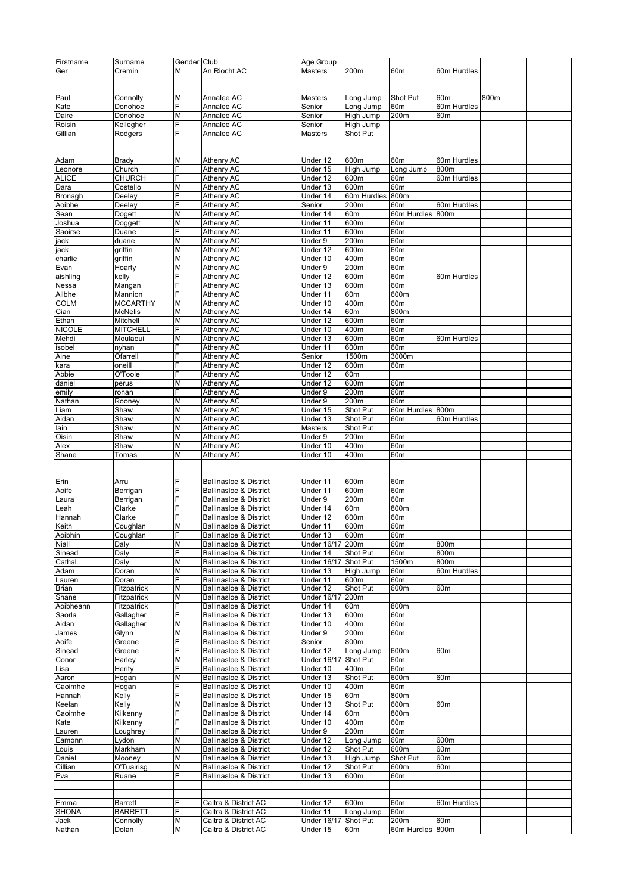| Firstname     | Surname         | Gender Club             |                                   | Age Group          |             |                  |                 |      |  |
|---------------|-----------------|-------------------------|-----------------------------------|--------------------|-------------|------------------|-----------------|------|--|
| Ger           | Cremin          | М                       | An Riocht AC                      | Masters            | 200m        | 60m              | 60m Hurdles     |      |  |
|               |                 |                         |                                   |                    |             |                  |                 |      |  |
|               |                 |                         |                                   |                    |             |                  |                 |      |  |
| Paul          | Connolly        | M                       | Annalee AC                        | Masters            | Long Jump   | Shot Put         | 60m             | 800m |  |
| Kate          | Donohoe         | E.                      | Annalee AC                        | Senior             | Long Jump   | 60m              | 60m Hurdles     |      |  |
| Daire         | Donohoe         | Μ                       | Annalee AC                        | Senior             | High Jump   | 200m             | 60m             |      |  |
|               |                 | F                       | Annalee AC                        |                    |             |                  |                 |      |  |
| Roisin        | Kellegher       |                         |                                   | Senior             | High Jump   |                  |                 |      |  |
| Gillian       | Rodgers         | F                       | Annalee AC                        | Masters            | Shot Put    |                  |                 |      |  |
|               |                 |                         |                                   |                    |             |                  |                 |      |  |
|               |                 |                         |                                   |                    |             |                  |                 |      |  |
| Adam          | <b>Brady</b>    | Μ                       | Athenry AC                        | Under 12           | 600m        | 60m              | 60m Hurdles     |      |  |
| Leonore       | Church          | F                       | Athenry AC                        | Under 15           | High Jump   | Long Jump        | 800m            |      |  |
| <b>ALICE</b>  | <b>CHURCH</b>   | F                       | Athenry AC                        | Under 12           | 600m        | 60m              | 60m Hurdles     |      |  |
| Dara          | Costello        | Μ                       | Athenry AC                        | Under 13           | 600m        | 60m              |                 |      |  |
| Bronagh       | Deeley          | F                       | Athenry AC                        | Under 14           | 60m Hurdles | 800m             |                 |      |  |
| Aoibhe        | Deeley          | F                       | Athenry AC                        | Senior             | 200m        | 60m              | 60m Hurdles     |      |  |
| Sean          | Dogett          | M                       | Athenry AC                        | Under 14           | 60m         | 60m Hurdles 800m |                 |      |  |
| Joshua        | Doggett         | Μ                       | Athenry AC                        | Under 11           | 600m        | 60m              |                 |      |  |
| Saoirse       | Duane           | Ė                       | Athenry AC                        | Under 11           | 600m        | 60m              |                 |      |  |
|               | duane           | Μ                       | Athenry AC                        | Under 9            | 200m        | 60m              |                 |      |  |
| jack          |                 |                         |                                   |                    |             |                  |                 |      |  |
| jack          | griffin         | Μ                       | Athenry AC                        | Under 12           | 600m        | 60m              |                 |      |  |
| charlie       | griffin         | M                       | Athenry AC                        | Under 10           | 400m        | 60m              |                 |      |  |
| Evan          | Hoarty          | M                       | Athenry AC                        | Under 9            | 200m        | 60m              |                 |      |  |
| aishling      | kelly           | Ė                       | Athenry AC                        | Under 12           | 600m        | 60m              | 60m Hurdles     |      |  |
| Nessa         | Mangan          | E.                      | Athenry AC                        | Under 13           | 600m        | 60m              |                 |      |  |
| Ailbhe        | Mannion         | F                       | Athenry AC                        | Under 11           | 60m         | 600m             |                 |      |  |
| <b>COLM</b>   | <b>MCCARTHY</b> | M                       | Athenry AC                        | Under 10           | 400m        | 60m              |                 |      |  |
| Cian          | <b>McNelis</b>  | М                       | Athenry AC                        | Under 14           | 60m         | 800m             |                 |      |  |
| Ethan         | Mitchell        | M                       | Athenry AC                        | Under 12           | 600m        | 60m              |                 |      |  |
|               |                 | E.                      |                                   |                    |             |                  |                 |      |  |
| <b>NICOLE</b> | <b>MITCHELL</b> |                         | Athenry AC                        | Under 10           | 400m        | 60m              |                 |      |  |
| Mehdi         | Moulaoui        | Μ                       | Athenry AC                        | Under 13           | 600m        | 60m              | 60m Hurdles     |      |  |
| isobel        | nyhan           | F                       | Athenry AC                        | Under 11           | 600m        | 60m              |                 |      |  |
| Aine          | Ofarrell        | F                       | Athenry AC                        | Senior             | 1500m       | 3000m            |                 |      |  |
| kara          | oneill          | F                       | Athenry AC                        | Under 12           | 600m        | 60m              |                 |      |  |
| Abbie         | O'Toole         | F                       | Athenry AC                        | Under 12           | 60m         |                  |                 |      |  |
| daniel        | perus           | Μ                       | Athenry AC                        | Under 12           | 600m        | 60m              |                 |      |  |
| emily         | rohan           | F                       | Athenry AC                        | Under 9            | 200m        | 60m              |                 |      |  |
| Nathan        | Rooney          | M                       | Athenry AC                        | Under 9            | 200m        | 60m              |                 |      |  |
| Liam          | Shaw            | M                       | Athenry AC                        | Under 15           | Shot Put    | 60m Hurdles 800m |                 |      |  |
|               |                 |                         |                                   |                    | Shot Put    |                  |                 |      |  |
| Aidan         | Shaw            | Μ                       | Athenry AC                        | Under 13           |             | 60m              | 60m Hurdles     |      |  |
| lain          | Shaw            | Μ                       | Athenry AC                        | Masters            | Shot Put    |                  |                 |      |  |
| Oisin         | Shaw            | Μ                       | Athenry AC                        | Under 9            | 200m        | 60m              |                 |      |  |
| Alex          | Shaw            | М                       | Athenry AC                        | Under 10           | 400m        | 60m              |                 |      |  |
| Shane         | Tomas           | M                       | Athenry AC                        | Under 10           | 400m        | 60m              |                 |      |  |
|               |                 |                         |                                   |                    |             |                  |                 |      |  |
|               |                 |                         |                                   |                    |             |                  |                 |      |  |
| Erin          | Arru            | F                       | <b>Ballinasloe &amp; District</b> | Under 11           | 600m        | 60m              |                 |      |  |
| Aoife         | Berrigan        | F                       | <b>Ballinasloe &amp; District</b> | Under 11           | 600m        | 60m              |                 |      |  |
| Laura         | Berrigan        | F                       | <b>Ballinasloe &amp; District</b> | Under 9            | 200m        | 60m              |                 |      |  |
| Leah          | Clarke          | F                       | <b>Ballinasloe &amp; District</b> | Under 14           | 60m         | 800m             |                 |      |  |
| Hannah        | Clarke          | F                       | <b>Ballinasloe &amp; District</b> | Under 12           | 600m        | 60m              |                 |      |  |
|               |                 |                         |                                   |                    |             |                  |                 |      |  |
| Keith         | Coughlan        | M                       | <b>Ballinasloe &amp; District</b> | Under 11           | 600m        | 60m              |                 |      |  |
| Aoibhin       | Cougnian        |                         | <b>Ballinasioe &amp; District</b> | Under 13           | <b>buum</b> | bum              |                 |      |  |
| Niall         | Daly            | М                       | Ballinasloe & District            | Under 16/17 200m   |             | 60m              | 800m            |      |  |
| Sinead        | Daly            | E.                      | <b>Ballinasloe &amp; District</b> | Under 14           | Shot Put    | 60m              | 800m            |      |  |
| Cathal        | Daly            | M                       | <b>Ballinasloe &amp; District</b> | <b>Under 16/17</b> | Shot Put    | 1500m            | 800m            |      |  |
| Adam          | Doran           | M                       | <b>Ballinasloe &amp; District</b> | Under 13           | High Jump   | 60m              | 60m Hurdles     |      |  |
| Lauren        | Doran           | F                       | Ballinasloe & District            | Under 11           | 600m        | 60m              |                 |      |  |
| Brian         | Fitzpatrick     | М                       | <b>Ballinasloe &amp; District</b> | Under 12           | Shot Put    | 600m             | 60m             |      |  |
| Shane         | Fitzpatrick     | Μ                       | <b>Ballinasloe &amp; District</b> | Under 16/17        | 200m        |                  |                 |      |  |
| Aoibheann     | Fitzpatrick     | E.                      | Ballinasloe & District            | Under 14           | 60m         | 800m             |                 |      |  |
| Saorla        | Gallagher       | F                       | <b>Ballinasloe &amp; District</b> | Under 13           | 600m        | 60m              |                 |      |  |
| Aidan         | Gallagher       | M                       | Ballinasloe & District            | Under 10           | 400m        | 60m              |                 |      |  |
|               |                 |                         |                                   |                    |             |                  |                 |      |  |
| James         | Glynn           | М                       | Ballinasloe & District            | Under 9            | 200m        | 60m              |                 |      |  |
| Aoife         | Greene          | E.                      | <b>Ballinasloe &amp; District</b> | Senior             | 800m        |                  |                 |      |  |
| Sinead        | Greene          | F.                      | Ballinasloe & District            | Under 12           | Long Jump   | 600m             | 60m             |      |  |
| Conor         | Harley          | Μ                       | <b>Ballinasloe &amp; District</b> | <b>Under 16/17</b> | Shot Put    | 60 <sub>m</sub>  |                 |      |  |
| Lisa          | Herity          | F                       | Ballinasloe & District            | Under 10           | 400m        | 60m              |                 |      |  |
| Aaron         | Hogan           | $\overline{\mathsf{M}}$ | Ballinasloe & District            | Under 13           | Shot Put    | 600m             | 60m             |      |  |
| Caoimhe       | Hogan           | E.                      | <b>Ballinasloe &amp; District</b> | Under 10           | 400m        | 60m              |                 |      |  |
| Hannah        | Kelly           | E.                      | Ballinasloe & District            | Under 15           | 60m         | 800m             |                 |      |  |
| Keelan        | Kelly           | Μ                       | <b>Ballinasloe &amp; District</b> | Under 13           | Shot Put    | 600m             | 60m             |      |  |
| Caoimhe       | Kilkenny        | F                       | <b>Ballinasloe &amp; District</b> | Under 14           | 60m         | 800m             |                 |      |  |
|               |                 | F                       |                                   | Under 10           | 400m        | 60m              |                 |      |  |
| Kate          | Kilkenny        |                         | Ballinasloe & District            |                    |             |                  |                 |      |  |
| Lauren        | Loughrey        | E.                      | <b>Ballinasloe &amp; District</b> | Under 9            | 200m        | 60m              |                 |      |  |
| Eamonn        | Lydon           | Μ                       | <b>Ballinasloe &amp; District</b> | Under 12           | Long Jump   | 60m              | 600m            |      |  |
| Louis         | Markham         | Μ                       | <b>Ballinasloe &amp; District</b> | Under 12           | Shot Put    | 600m             | 60m             |      |  |
| Daniel        | Mooney          | М                       | <b>Ballinasloe &amp; District</b> | Under 13           | High Jump   | Shot Put         | 60m             |      |  |
| Cillian       | O'Tuairisg      | Μ                       | Ballinasloe & District            | Under 12           | Shot Put    | 600m             | 60m             |      |  |
| Eva           | Ruane           | E.                      | <b>Ballinasloe &amp; District</b> | Under 13           | 600m        | 60m              |                 |      |  |
|               |                 |                         |                                   |                    |             |                  |                 |      |  |
|               |                 |                         |                                   |                    |             |                  |                 |      |  |
| Emma          | <b>Barrett</b>  | F                       | Caltra & District AC              | Under 12           | 600m        | 60m              | 60m Hurdles     |      |  |
|               |                 | F.                      |                                   |                    |             |                  |                 |      |  |
| <b>SHONA</b>  | <b>BARRETT</b>  |                         | Caltra & District AC              | Under 11           | Long Jump   | 60m              |                 |      |  |
| Jack          | Connolly        | М                       | Caltra & District AC              | <b>Under 16/17</b> | Shot Put    | 200m             | 60 <sub>m</sub> |      |  |
| Nathan        | Dolan           | M                       | Caltra & District AC              | Under 15           | 60m         | 60m Hurdles 800m |                 |      |  |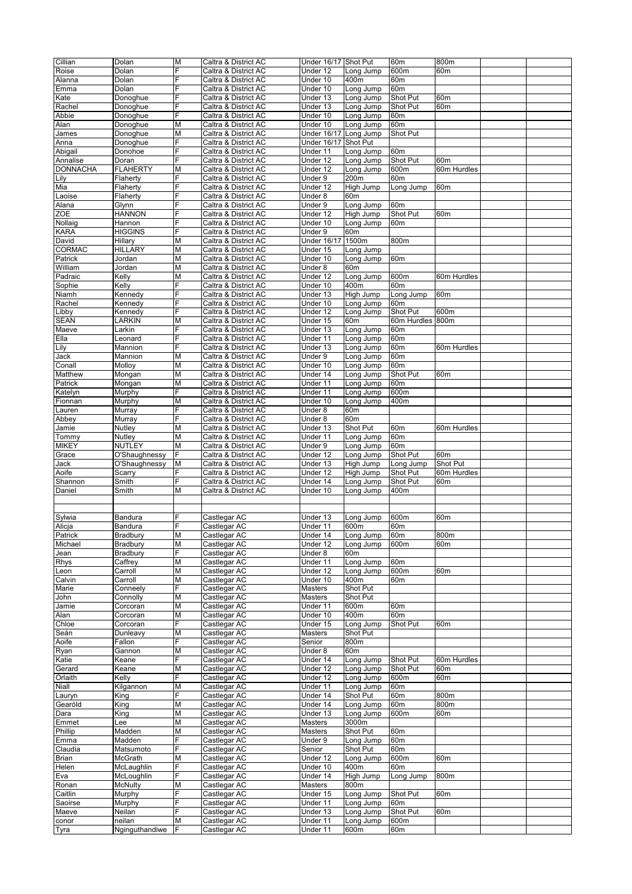| Cillian         | Dolan                    | M                       | Caltra & District AC         | Under 16/17 Shot Put |                   | 60m              | 800m            |  |
|-----------------|--------------------------|-------------------------|------------------------------|----------------------|-------------------|------------------|-----------------|--|
| Roise           | Dolan                    | F                       | Caltra & District AC         | Under 12             | Long Jump         | 600m             | 60m             |  |
|                 |                          | F                       |                              |                      |                   |                  |                 |  |
| Alanna          | Dolan                    |                         | Caltra & District AC         | Under 10             | 400m              | 60m              |                 |  |
| Emma            | Dolan                    | F                       | Caltra & District AC         | Under 10             | Long Jump         | 60m              |                 |  |
| Kate            | Donoghue                 | F                       | Caltra & District AC         | Under 13             | Long Jump         | Shot Put         | 60m             |  |
| Rachel          | Donoghue                 | F                       | Caltra & District AC         | Under 13             | Long Jump         | Shot Put         | 60m             |  |
| Abbie           | Donoghue                 | F                       | Caltra & District AC         | Under 10             | Long Jump         | 60m              |                 |  |
| Alan            | Donoghue                 | М                       | Caltra & District AC         | Under 10             | Long Jump         | 60m              |                 |  |
| James           | Donoghue                 | M                       | Caltra & District AC         | <b>Under 16/17</b>   | Long Jump         | Shot Put         |                 |  |
| Anna            | Donoghue                 | F                       | Caltra & District AC         | <b>Under 16/17</b>   | Shot Put          |                  |                 |  |
|                 |                          |                         |                              |                      |                   |                  |                 |  |
| Abigail         | Donohoe                  | F                       | Caltra & District AC         | Under 11             | Long Jump         | 60m              |                 |  |
| Annalise        | Doran                    | F                       | Caltra & District AC         | Under 12             | Long Jump         | Shot Put         | 60 <sub>m</sub> |  |
| <b>DONNACHA</b> | <b>FLAHERTY</b>          | М                       | Caltra & District AC         | Under 12             | Long Jump         | 600m             | 60m Hurdles     |  |
| Lily            | Flaherty                 | F                       | Caltra & District AC         | Under 9              | 200m              | 60m              |                 |  |
| Mia             | Flaherty                 | F                       | Caltra & District AC         | Under 12             | High Jump         | Long Jump        | 60 <sub>m</sub> |  |
| Laoise          | Flaherty                 | F                       | Caltra & District AC         | Under 8              | 60m               |                  |                 |  |
| Alana           | Glynn                    | F                       | Caltra & District AC         | Under 9              | Long Jump         | 60m              |                 |  |
| ZOE             | <b>HANNON</b>            | F                       | Caltra & District AC         | Under 12             | High Jump         | Shot Put         | 60m             |  |
| Nollaig         | Hannon                   | F                       | Caltra & District AC         | Under 10             | Long Jump         | 60m              |                 |  |
|                 |                          |                         |                              |                      |                   |                  |                 |  |
| <b>KARA</b>     | <b>HIGGINS</b>           | F                       | Caltra & District AC         | Under 9              | 60m               |                  |                 |  |
| David           | Hillary                  | М                       | Caltra & District AC         | <b>Under 16/17</b>   | 1500m             | 800m             |                 |  |
| <b>CORMAC</b>   | <b>HILLARY</b>           | М                       | Caltra & District AC         | Under 15             | Long Jump         |                  |                 |  |
| Patrick         | Jordan                   | М                       | Caltra & District AC         | Under 10             | Long Jump         | 60m              |                 |  |
| William         | Jordan                   | М                       | Caltra & District AC         | Under 8              | 60m               |                  |                 |  |
| Padraic         | Kelly                    | М                       | Caltra & District AC         | Under 12             | Long Jump         | 600m             | 60m Hurdles     |  |
| Sophie          | Kelly                    | F                       | Caltra & District AC         | Under 10             | 400m              | 60m              |                 |  |
| Niamh           | Kennedv                  | F                       | Caltra & District AC         | Under 13             | High Jump         | Long Jump        | 60m             |  |
| Rachel          | Kennedy                  | F                       | Caltra & District AC         | Under 10             |                   | 60m              |                 |  |
|                 |                          |                         |                              |                      | Long Jump         |                  |                 |  |
| Libby           | Kennedy                  | F                       | Caltra & District AC         | Under 12             | Long Jump         | Shot Put         | 600m            |  |
| SEAN            | LARKIN                   | M                       | Caltra & District AC         | Under 15             | 60m               | 60m Hurdles 800m |                 |  |
| Maeve           | Larkin                   | F                       | Caltra & District AC         | Under 13             | Long Jump         | 60m              |                 |  |
| Ella            | Leonard                  | F                       | Caltra & District AC         | Under 11             | Long Jump         | 60m              |                 |  |
| Lily            | Mannion                  | F                       | Caltra & District AC         | Under 13             | Long Jump         | 60m              | 60m Hurdles     |  |
| Jack            | Mannion                  | M                       | Caltra & District AC         | Under 9              | Long Jump         | 60m              |                 |  |
| Conall          | Molloy                   | M                       | Caltra & District AC         | Under 10             | Long Jump         | 60 <sub>m</sub>  |                 |  |
|                 |                          | M                       |                              |                      |                   |                  |                 |  |
| Matthew         | Mongan                   |                         | Caltra & District AC         | Under 14             | Long Jump         | Shot Put         | 60m             |  |
| Patrick         | Mongan                   | М                       | Caltra & District AC         | Under 11             | Long Jump         | 60m              |                 |  |
| Katelyn         | Murphy                   | F                       | Caltra & District AC         | Under 11             | Long Jump         | 600m             |                 |  |
| Fionnan         | Murphy                   | M                       | Caltra & District AC         | Under 10             | Long Jump         | 400m             |                 |  |
| Lauren          | Murray                   | F                       | Caltra & District AC         | Under 8              | 60m               |                  |                 |  |
| Abbey           | Murray                   | F                       | Caltra & District AC         | Under 8              | 60m               |                  |                 |  |
| Jamie           | Nutley                   | М                       | Caltra & District AC         | Under 13             | Shot Put          | 60m              | 60m Hurdles     |  |
| Tommy           | Nutley                   | М                       | Caltra & District AC         | Under 11             | Long Jump         | 60m              |                 |  |
|                 | NUTLEY                   | М                       |                              |                      |                   | 60m              |                 |  |
| <b>MIKEY</b>    |                          |                         | Caltra & District AC         | Under 9              | Long Jump         |                  |                 |  |
| Grace           | O'Shaughnessy            | F                       | Caltra & District AC         | Under 12             | Long Jump         | Shot Put         | 60m             |  |
|                 |                          |                         |                              |                      |                   |                  |                 |  |
| Jack            | O'Shaughnessy            | М                       | Caltra & District AC         | Under 13             | High Jump         | Long Jump        | Shot Put        |  |
| Aoife           | Scarry                   | F                       | Caltra & District AC         | Under 12             | High Jump         | Shot Put         | 60m Hurdles     |  |
| Shannon         | Smith                    | F                       | Caltra & District AC         | Under 14             | Long Jump         | Shot Put         | 60m             |  |
|                 |                          |                         |                              |                      |                   |                  |                 |  |
| Daniel          | Smith                    | M                       | Caltra & District AC         | Under 10             | Long Jump         | 400m             |                 |  |
|                 |                          |                         |                              |                      |                   |                  |                 |  |
|                 |                          |                         |                              |                      |                   |                  |                 |  |
| Sylwia          | Bandura                  | F                       | Castlegar AC                 | Under 13             | Long Jump         | 600m             | 60m             |  |
| Alicja          | Bandura                  | F                       | Castlegar AC                 | Under 11             | 600m              | 60m              |                 |  |
| Patrick         | <b>Bradbury</b>          | М                       | Castlegar AC                 | Under 14             | Long Jump         | 60m              | 800m            |  |
| Michael         | Bradbury                 | М                       | Castlegar AC                 | Under 12             | Long Jump         | 600m             | 60m             |  |
| Jean            | Bradbury                 | F                       | Castlegar AC                 | Under 8              | 60m               |                  |                 |  |
|                 | Caffrey                  | М                       | Castlegar AC                 | Under 11             | Long Jump         | 60m              |                 |  |
| Rhys<br>Leon    | Carroll                  |                         |                              |                      |                   | 600m             | 60m             |  |
|                 |                          | М                       | Castlegar AC                 | Under 12             | Long Jump         |                  |                 |  |
| Calvin          | Carroll                  | М                       | Castlegar AC                 | Under 10             | 400m              | 60m              |                 |  |
| Marie           | Conneely                 | F                       | Castlegar AC                 | Masters              | Shot Put          |                  |                 |  |
| John            | Connolly                 | М                       | Castlegar AC                 | Masters              | Shot Put          |                  |                 |  |
| Jamie           | Corcoran                 | M                       | Castlegar AC                 | Under 11             | 600m              | 60m              |                 |  |
| Alan            | Corcoran                 | М                       | Castlegar AC                 | Under 10             | 400m              | 60m              |                 |  |
| Chloe           | Corcoran                 | F                       | Castlegar AC                 | Under 15             | Long Jump         | Shot Put         | 60m             |  |
| Seán            | Dunleavy                 | М                       | Castlegar AC                 | Masters              | Shot Put          |                  |                 |  |
| Aoife           | Fallon                   | F                       | Castlegar AC                 | Senior               | 800m              |                  |                 |  |
|                 |                          |                         |                              |                      | 60m               |                  |                 |  |
| Ryan            | Gannon                   | М                       | Castlegar AC                 | Under 8              |                   |                  |                 |  |
| Katie           | Keane                    | F                       | Castlegar AC                 | Under 14             | Long Jump         | Shot Put         | 60m Hurdles     |  |
| Gerard          | Keane                    | M                       | Castlegar AC                 | Under 12             | Long Jump         | Shot Put         | 60m             |  |
| Orlaith         | Kelly                    | F                       | Castlegar AC                 | Under 12             | Long Jump         | 600m             | 60m             |  |
| Niall           | Kilgannon                | М                       | Castlegar AC                 | Under 11             | Long Jump         | 60m              |                 |  |
| Lauryn          | King                     | F                       | Castlegar AC                 | Under 14             | Shot Put          | 60m              | 800m            |  |
| Gearóld         | King                     | $\overline{\mathsf{M}}$ | Castlegar AC                 | Under 14             | Long Jump         | 60m              | 800m            |  |
| Dara            | King                     | М                       | Castlegar AC                 | Under 13             | Long Jump         | 600m             | 60m             |  |
| Emmet           | Lee                      | М                       | Castlegar AC                 | Masters              | 3000m             |                  |                 |  |
| Phillip         | Madden                   | М                       | Castlegar AC                 | Masters              | Shot Put          | 60m              |                 |  |
|                 |                          | F                       |                              |                      |                   |                  |                 |  |
| Emma            | Madden                   |                         | Castlegar AC                 | Under 9              | Long Jump         | 60m              |                 |  |
| Claudia         | Matsumoto                | F                       | Castlegar AC                 | Senior               | Shot Put          | 60m              |                 |  |
| <b>Brian</b>    | McGrath                  | М                       | Castlegar AC                 | Under 12             | Long Jump         | 600m             | 60m             |  |
| Helen           | McLaughlin               | F                       | Castlegar AC                 | Under 10             | 400m              | 60m              |                 |  |
| Eva             | McLoughlin               | F                       | Castlegar AC                 | Under 14             | High Jump         | Long Jump        | 800m            |  |
| Ronan           | <b>McNulty</b>           | М                       | Castlegar AC                 | Masters              | 800m              |                  |                 |  |
| Caitlin         | Murphy                   | F                       | Castlegar AC                 | Under 15             | Long Jump         | Shot Put         | 60m             |  |
| Saoirse         | Murphy                   | F                       | Castlegar AC                 | Under 11             | Long Jump         | 60m              |                 |  |
|                 |                          | F                       |                              |                      |                   |                  |                 |  |
| Maeve           | Neilan                   |                         | Castlegar AC                 | Under 13             | Long Jump         | Shot Put         | 60m             |  |
| conor<br>Tyra   | neilan<br>Nginguthandiwe | М<br>F                  | Castlegar AC<br>Castlegar AC | Under 11<br>Under 11 | Long Jump<br>600m | 600m<br>60m      |                 |  |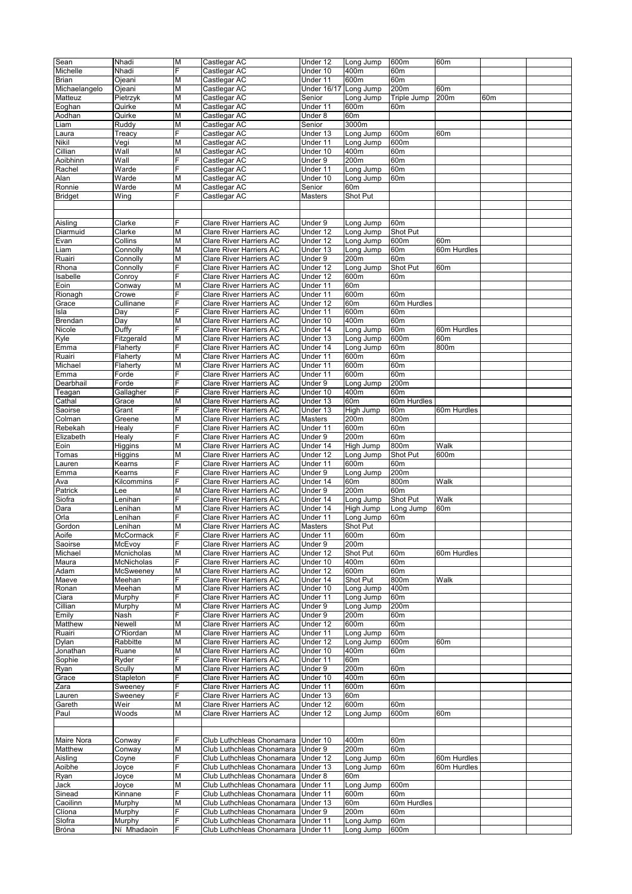|                |                  | M  |                                | Under 12           | Long Jump        |                 |                 |                 |  |
|----------------|------------------|----|--------------------------------|--------------------|------------------|-----------------|-----------------|-----------------|--|
| Sean           | Nhadi            |    | Castlegar AC                   |                    |                  | 600m            | 60m             |                 |  |
| Michelle       | Nhadi            | F  | Castlegar AC                   | Under 10           | 400m             | 60m             |                 |                 |  |
| Brian          | Ojeani           | M  | Castlegar AC                   | Under 11           | 600m             | 60m             |                 |                 |  |
| Michaelangelo  | Ojeani           | M  | Castlegar AC                   | <b>Under 16/17</b> | Long Jump        | 200m            | 60 <sub>m</sub> |                 |  |
| Matteuz        | Pietrzyk         | Μ  | Castlegar AC                   | Senior             | Long Jump        | Triple Jump     | 200m            | 60 <sub>m</sub> |  |
|                |                  | Μ  |                                |                    |                  | 60m             |                 |                 |  |
| Eoghan         | Quirke           |    | Castlegar AC                   | Under 11           | 600m             |                 |                 |                 |  |
| Aodhan         | Quirke           | M  | Castlegar AC                   | Under 8            | 60m              |                 |                 |                 |  |
| Liam           | Ruddy            | M  | Castlegar AC                   | Senior             | 3000m            |                 |                 |                 |  |
| Laura          | Treacy           | F  | Castlegar AC                   | Under 13           | Long Jump        | 600m            | 60 <sub>m</sub> |                 |  |
| Nikil          | Vegi             | M  | Castlegar AC                   | Under 11           | Long Jump        | 600m            |                 |                 |  |
| Cillian        | Wall             | Μ  | Castlegar AC                   | Under 10           | 400m             | 60m             |                 |                 |  |
|                |                  |    |                                |                    |                  |                 |                 |                 |  |
| Aoibhinn       | Wall             | F  | Castlegar AC                   | Under 9            | 200m             | 60m             |                 |                 |  |
| Rachel         | Warde            | F  | Castlegar AC                   | Under 11           | Long Jump        | 60m             |                 |                 |  |
| Alan           | Warde            | M  | Castlegar AC                   | Under 10           | Long Jump        | 60m             |                 |                 |  |
| Ronnie         | Warde            | Μ  | Castlegar AC                   | Senior             | 60m              |                 |                 |                 |  |
| <b>Bridget</b> | Wing             | F  | Castlegar AC                   | Masters            | Shot Put         |                 |                 |                 |  |
|                |                  |    |                                |                    |                  |                 |                 |                 |  |
|                |                  |    |                                |                    |                  |                 |                 |                 |  |
|                |                  |    |                                |                    |                  |                 |                 |                 |  |
| Aisling        | Clarke           | F  | Clare River Harriers AC        | Under 9            | Long Jump        | 60m             |                 |                 |  |
| Diarmuid       | Clarke           | M  | <b>Clare River Harriers AC</b> | Under 12           | Long Jump        | Shot Put        |                 |                 |  |
| Evan           | Collins          | Μ  | Clare River Harriers AC        | Under 12           | Long Jump        | 600m            | 60 <sub>m</sub> |                 |  |
| Liam           | Connolly         | M  | <b>Clare River Harriers AC</b> | Under 13           | Long Jump        | 60m             | 60m Hurdles     |                 |  |
|                | Connolly         | M  | <b>Clare River Harriers AC</b> |                    | 200m             | 60m             |                 |                 |  |
| Ruairi         |                  |    |                                | Under 9            |                  |                 |                 |                 |  |
| Rhona          | Connolly         | F  | <b>Clare River Harriers AC</b> | Under 12           | Long Jump        | Shot Put        | 60 <sub>m</sub> |                 |  |
| Isabelle       | Conroy           | F  | <b>Clare River Harriers AC</b> | Under 12           | 600m             | 60m             |                 |                 |  |
| Eoin           | Conway           | Μ  | Clare River Harriers AC        | Under 11           | 60m              |                 |                 |                 |  |
| Rionagh        | Crowe            | F  | <b>Clare River Harriers AC</b> | Under 11           | 600m             | 60m             |                 |                 |  |
| Grace          | Cullinane        | F  | <b>Clare River Harriers AC</b> | Under 12           | 60m              | 60m Hurdles     |                 |                 |  |
| Isla           | Day              | F  | <b>Clare River Harriers AC</b> | Under 11           | 600m             | 60m             |                 |                 |  |
|                |                  |    |                                |                    |                  |                 |                 |                 |  |
| Brendan        | Day              | M  | Clare River Harriers AC        | Under 10           | 400m             | 60m             |                 |                 |  |
| Nicole         | Duffy            | F  | <b>Clare River Harriers AC</b> | Under 14           | Long Jump        | 60m             | 60m Hurdles     |                 |  |
| Kyle           | Fitzgerald       | M  | <b>Clare River Harriers AC</b> | Under 13           | Long Jump        | 600m            | 60m             |                 |  |
| Emma           | Flaherty         | F  | <b>Clare River Harriers AC</b> | Under 14           | Long Jump        | 60m             | 800m            |                 |  |
| Ruairi         | Flaherty         | M  | Clare River Harriers AC        | Under 11           | 600m             | 60m             |                 |                 |  |
|                |                  |    |                                |                    | 600m             |                 |                 |                 |  |
| Michael        | Flaherty         | Μ  | Clare River Harriers AC        | Under 11           |                  | 60m             |                 |                 |  |
| Emma           | Forde            | F  | <b>Clare River Harriers AC</b> | Under 11           | 600m             | 60m             |                 |                 |  |
| Dearbhail      | Forde            | F  | <b>Clare River Harriers AC</b> | Under 9            | Long Jump        | 200m            |                 |                 |  |
| Teagan         | Gallagher        | F  | <b>Clare River Harriers AC</b> | Under 10           | 400m             | 60m             |                 |                 |  |
| Cathal         | Grace            | M  | <b>Clare River Harriers AC</b> | Under 13           | 60m              | 60m Hurdles     |                 |                 |  |
| Saoirse        | Grant            | E. | <b>Clare River Harriers AC</b> | Under 13           | High Jump        | 60 <sub>m</sub> | 60m Hurdles     |                 |  |
|                |                  |    |                                |                    |                  |                 |                 |                 |  |
| Colman         | Greene           | Μ  | <b>Clare River Harriers AC</b> | Masters            | 200 <sub>m</sub> | 800m            |                 |                 |  |
| Rebekah        | Healy            | F  | <b>Clare River Harriers AC</b> | Under 11           | 600m             | 60m             |                 |                 |  |
| Elizabeth      | Healy            | F  | <b>Clare River Harriers AC</b> | Under 9            | 200m             | 60m             |                 |                 |  |
| Eoin           | Higgins          | M  | <b>Clare River Harriers AC</b> | Under 14           | High Jump        | 800m            | Walk            |                 |  |
| Tomas          | Higgins          | Μ  | <b>Clare River Harriers AC</b> | Under 12           | Long Jump        | Shot Put        | 600m            |                 |  |
|                |                  | F  |                                |                    |                  |                 |                 |                 |  |
| Lauren         | Kearns           |    | <b>Clare River Harriers AC</b> | Under 11           | 600m             | 60m             |                 |                 |  |
| Emma           | Kearns           | F  | <b>Clare River Harriers AC</b> | Under 9            | Long Jump        | 200m            |                 |                 |  |
| Ava            | Kilcommins       | F  | <b>Clare River Harriers AC</b> | Under 14           | 60m              | 800m            | Walk            |                 |  |
| Patrick        | Lee              | M  | <b>Clare River Harriers AC</b> | Under 9            | 200m             | 60m             |                 |                 |  |
| Siofra         | Lenihan          | F  | <b>Clare River Harriers AC</b> | Under 14           | Long Jump        | Shot Put        | Walk            |                 |  |
| Dara           | Lenihan          | Μ  | <b>Clare River Harriers AC</b> | Under 14           | High Jump        | Long Jump       | 60m             |                 |  |
|                |                  | F  |                                |                    |                  |                 |                 |                 |  |
| Orla           | Lenihan          |    | <b>Clare River Harriers AC</b> | Under 11           | Long Jump        | 60m             |                 |                 |  |
| Gordon         | Lenihan          | M  | <b>Clare River Harriers AC</b> | Masters            | Shot Put         |                 |                 |                 |  |
| Aoife          | <b>McCormack</b> | F  | Clare River Harriers AC        | Under 11           | 600m             | 60m             |                 |                 |  |
| Saoirse        | McEvoy           | F  | Clare River Harriers AC        | Under 9            | 200m             |                 |                 |                 |  |
| Michael        | Mcnicholas       | М  | Clare River Harriers AC        | Under 12           | Shot Put         | 60m             | 60m Hurdles     |                 |  |
| Maura          | McNicholas       | F  | Clare River Harriers AC        | Under 10           | 400m             | 60m             |                 |                 |  |
|                |                  |    |                                |                    |                  |                 |                 |                 |  |
| Adam           | McSweeney        | М  | Clare River Harriers AC        | Under 12           | 600m             | 60m             |                 |                 |  |
| Maeve          | Meehan           | F  | Clare River Harriers AC        | Under 14           | Shot Put         | 800m            | Walk            |                 |  |
| Ronan          | Meehan           | М  | Clare River Harriers AC        | Under 10           | Long Jump        | 400m            |                 |                 |  |
| Ciara          | Murphy           | F  | <b>Clare River Harriers AC</b> | Under 11           | Long Jump        | 60m             |                 |                 |  |
| Cillian        | Murphy           | М  | Clare River Harriers AC        | Under 9            | Long Jump        | 200m            |                 |                 |  |
| Emily          | Nash             | F  | Clare River Harriers AC        | Under 9            | 200m             | 60m             |                 |                 |  |
|                |                  |    |                                |                    |                  |                 |                 |                 |  |
| Matthew        | Newell           | M  | Clare River Harriers AC        | Under 12           | 600m             | 60m             |                 |                 |  |
| Ruairi         | O'Riordan        | M  | Clare River Harriers AC        | Under 11           | Long Jump        | 60m             |                 |                 |  |
| Dylan          | Rabbitte         | М  | Clare River Harriers AC        | Under 12           | Long Jump        | 600m            | 60m             |                 |  |
| Jonathan       | Ruane            | М  | Clare River Harriers AC        | Under 10           | 400m             | 60m             |                 |                 |  |
| Sophie         | Ryder            | E. | <b>Clare River Harriers AC</b> | Under 11           | 60m              |                 |                 |                 |  |
| Ryan           | Scully           | M  | Clare River Harriers AC        | Under 9            | 200m             | 60m             |                 |                 |  |
|                |                  |    |                                |                    |                  |                 |                 |                 |  |
| Grace          | Stapleton        | E. | Clare River Harriers AC        | Under 10           | 400m             | 60m             |                 |                 |  |
| Zara           | Sweeney          | F  | Clare River Harriers AC        | Under 11           | 600m             | 60m             |                 |                 |  |
| Lauren         | Sweeney          | F  | Clare River Harriers AC        | Under 13           | 60m              |                 |                 |                 |  |
| Gareth         | Weir             | M  | Clare River Harriers AC        | Under 12           | 600m             | 60m             |                 |                 |  |
| Paul           | Woods            | М  | Clare River Harriers AC        | Under 12           | Long Jump        | 600m            | 60m             |                 |  |
|                |                  |    |                                |                    |                  |                 |                 |                 |  |
|                |                  |    |                                |                    |                  |                 |                 |                 |  |
|                |                  |    |                                |                    |                  |                 |                 |                 |  |
| Maire Nora     | Conway           | F  | Club Luthchleas Chonamara      | Under 10           | 400m             | 60m             |                 |                 |  |
| Matthew        | Conway           | M  | Club Luthchleas Chonamara      | Under 9            | 200m             | 60m             |                 |                 |  |
| Aisling        | Coyne            | F  | Club Luthchleas Chonamara      | Under 12           | Long Jump        | 60m             | 60m Hurdles     |                 |  |
| Aoibhe         | Joyce            | E. | Club Luthchleas Chonamara      | Under 13           | Long Jump        | 60m             | 60m Hurdles     |                 |  |
|                |                  |    | Club Luthchleas Chonamara      |                    |                  |                 |                 |                 |  |
| Ryan           | Joyce            | М  |                                | Under 8            | 60m              |                 |                 |                 |  |
| Jack           | Joyce            | M  | Club Luthchleas Chonamara      | Under 11           | Long Jump        | 600m            |                 |                 |  |
| Sinead         | Kinnane          | F  | Club Luthchleas Chonamara      | Under 11           | 600m             | 60 <sub>m</sub> |                 |                 |  |
| Caoilinn       | Murphy           | М  | Club Luthchleas Chonamara      | Under 13           | 60m              | 60m Hurdles     |                 |                 |  |
| Clíona         | Murphy           | E. | Club Luthchleas Chonamara      | Under 9            | 200m             | 60m             |                 |                 |  |
| Slofra         | Murphy           | F  | Club Luthchleas Chonamara      | Under 11           | Long Jump        | 60m             |                 |                 |  |
| <b>Bróna</b>   | Ní Mhadaoin      | F  | Club Luthchleas Chonamara      | Under 11           | Long Jump        | 600m            |                 |                 |  |
|                |                  |    |                                |                    |                  |                 |                 |                 |  |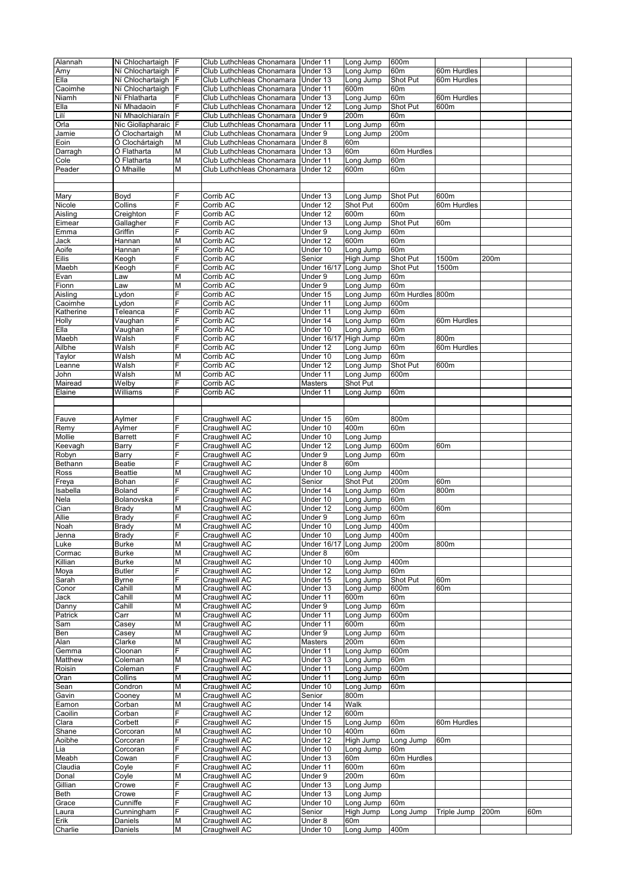| Alannah   | Ni Chlochartaigh F |   | Club Luthchleas Chonamara   Under 11 |                       | Long Jump       | 600m            |             |      |     |
|-----------|--------------------|---|--------------------------------------|-----------------------|-----------------|-----------------|-------------|------|-----|
| Amy       | Ní Chlochartaigh F |   | Club Luthchleas Chonamara            | Under 13              | Long Jump       | 60m             | 60m Hurdles |      |     |
|           |                    |   |                                      |                       |                 |                 |             |      |     |
| Ella      | Ní Chlochartaigh   | F | Club Luthchleas Chonamara            | Under 13              | Long Jump       | Shot Put        | 60m Hurdles |      |     |
| Caoimhe   | Ní Chlochartaigh   |   | Club Luthchleas Chonamara            | Under 11              | 600m            | 60m             |             |      |     |
| Niamh     | Ní Fhlatharta      | F | Club Luthchleas Chonamara            | Under 13              | Long Jump       | 60 <sub>m</sub> | 60m Hurdles |      |     |
| Ella      | Ní Mhadaoin        | F | Club Luthchleas Chonamara            | Under 12              | Long Jump       | Shot Put        | 600m        |      |     |
| Lilí      | Ní Mhaolchiaraín   | F | Club Luthchleas Chonamara            | Under 9               | 200m            | 60m             |             |      |     |
| Orla      | Nic Giollapharaic  | F | Club Luthchleas Chonamara            | Under 11              | Long Jump       | 60m             |             |      |     |
| Jamie     | Ó Clochartaigh     | М | Club Luthchleas Chonamara            | Under 9               | Long Jump       | 200m            |             |      |     |
| Eoin      | Ó Clochártaigh     | М | Club Luthchleas Chonamara            | Under 8               | 60m             |                 |             |      |     |
| Darragh   | Ó Flatharta        | М | Club Luthchleas Chonamara            | Under 13              | 60m             | 60m Hurdles     |             |      |     |
|           |                    |   |                                      |                       |                 |                 |             |      |     |
| Cole      | Ó Flatharta        | М | Club Luthchleas Chonamara            | Under 11              | Long Jump       | 60m             |             |      |     |
| Peader    | Ó Mhaille          | M | Club Luthchleas Chonamara            | Under 12              | 600m            | 60m             |             |      |     |
|           |                    |   |                                      |                       |                 |                 |             |      |     |
|           |                    |   |                                      |                       |                 |                 |             |      |     |
| Mary      | Boyd               |   | Corrib AC                            | Under 13              | Long Jump       | Shot Put        | 600m        |      |     |
| Nicole    | Collins            | F | Corrib AC                            | Under 12              | <b>Shot Put</b> | 600m            | 60m Hurdles |      |     |
| Aisling   | Creighton          | F | Corrib AC                            | Under 12              | 600m            | 60m             |             |      |     |
| Eimear    | Gallagher          | F | Corrib AC                            | Under 13              | Long Jump       | Shot Put        | 60m         |      |     |
| Emma      | Griffin            | F | Corrib AC                            | Under 9               | Long Jump       | 60m             |             |      |     |
| Jack      | Hannan             | M | Corrib AC                            | Under 12              | 600m            | 60m             |             |      |     |
| Aoife     | Hannan             | F | Corrib AC                            | Under 10              | Long Jump       | 60m             |             |      |     |
| Eilis     |                    | F | Corrib AC                            | Senior                | High Jump       | Shot Put        | 1500m       | 200m |     |
|           | Keogh              |   |                                      |                       |                 |                 |             |      |     |
| Maebh     | Keogh              | F | Corrib AC                            | <b>Under 16/17</b>    | Long Jump       | Shot Put        | 1500m       |      |     |
| Evan      | Law                | M | Corrib AC                            | Under 9               | Long Jump       | 60m             |             |      |     |
| Fionn     | Law                | M | Corrib AC                            | Under 9               | Long Jump       | 60m             |             |      |     |
| Aisling   | Lydon              | F | Corrib AC                            | Under 15              | Long Jump       | 60m Hurdles     | 800m        |      |     |
| Caoimhe   | Lydon              | F | Corrib AC                            | Under 11              | Long Jump       | 600m            |             |      |     |
| Katherine | Teleanca           | F | Corrib AC                            | Under 11              | Long Jump       | 60m             |             |      |     |
| Holly     | Vaughan            | F | Corrib AC                            | Under 14              | Long Jump       | 60m             | 60m Hurdles |      |     |
| Ella      | Vaughan            | F | Corrib AC                            | Under 10              | Long Jump       | 60m             |             |      |     |
| Maebh     | Walsh              | F | Corrib AC                            | Under 16/17 High Jump |                 | 60m             | 800m        |      |     |
| Ailbhe    | Walsh              | F | Corrib AC                            | Under 12              | Long Jump       | 60m             | 60m Hurdles |      |     |
|           |                    |   |                                      |                       |                 |                 |             |      |     |
| Taylor    | Walsh              | M | Corrib AC                            | Under 10              | Long Jump       | 60 <sub>m</sub> |             |      |     |
| Leanne    | Walsh              | F | Corrib AC                            | Under 12              | Long Jump       | Shot Put        | 600m        |      |     |
| John      | Walsh              | M | Corrib AC                            | Under 11              | Long Jump       | 600m            |             |      |     |
| Mairead   | Welby              | F | Corrib AC                            | Masters               | Shot Put        |                 |             |      |     |
| Elaine    | Williams           | F | Corrib AC                            | Under 11              | Long Jump       | 60m             |             |      |     |
|           |                    |   |                                      |                       |                 |                 |             |      |     |
|           |                    |   |                                      |                       |                 |                 |             |      |     |
| Fauve     | Aylmer             | F | Craughwell AC                        | Under 15              | 60m             | 800m            |             |      |     |
| Remy      | Aylmer             | F | Craughwell AC                        | Under 10              | 400m            | 60m             |             |      |     |
|           |                    | F |                                      |                       |                 |                 |             |      |     |
| Mollie    | <b>Barrett</b>     |   | Craughwell AC                        | Under 10              | Long Jump       |                 |             |      |     |
| Keevagh   | Barry              | F | Craughwell AC                        | Under 12              | Long Jump       | 600m            | 60m         |      |     |
| Robyn     | Barry              | F | Craughwell AC                        | Under 9               | Long Jump       | 60m             |             |      |     |
| Bethann   | <b>Beatie</b>      | F | Craughwell AC                        | Under 8               | 60m             |                 |             |      |     |
| Ross      | <b>Beattie</b>     | М | Craughwell AC                        | Under 10              | Long Jump       | 400m            |             |      |     |
| Freya     | Bohan              | F | Craughwell AC                        | Senior                | Shot Put        | 200m            | 60m         |      |     |
| Isabella  | Boland             | F | Craughwell AC                        | Under 14              | Long Jump       | 60m             | 800m        |      |     |
| Nela      | Bolanovska         | F | Craughwell AC                        | Under 10              | Long Jump       | 60m             |             |      |     |
| Cian      | <b>Brady</b>       | M | Craughwell AC                        | Under 12              | Long Jump       | 600m            | 60m         |      |     |
| Allie     | Brady              | F | Craughwell AC                        | Under 9               | Long Jump       | 60m             |             |      |     |
| Noah      | <b>Brady</b>       | M | Craughwell AC                        | Under 10              | Long Jump       | 400m            |             |      |     |
|           |                    |   |                                      |                       |                 |                 |             |      |     |
| Jenna     | Brady              |   | Craughwell AC                        | Under 10              | Long Jump       | 400m            |             |      |     |
| Luke      | <b>Burke</b>       | M | Craughwell AC                        | Under 16/17 Long Jump |                 | 200m            | 800m        |      |     |
| Cormac    | <b>Burke</b>       | М | Craughwell AC                        | Under 8               | 60m             |                 |             |      |     |
| Killian   | <b>Burke</b>       | М | Craughwell AC                        | Under 10              | Long Jump       | 400m            |             |      |     |
| Moya      | <b>Butler</b>      | F | Craughwell AC                        | Under 12              | Long Jump       | 60m             |             |      |     |
| Sarah     | <b>Byrne</b>       | F | Craughwell AC                        | Under 15              | Long Jump       | Shot Put        | 60m         |      |     |
| Conor     | Cahill             | М | Craughwell AC                        | Under 13              | Long Jump       | 600m            | 60m         |      |     |
| Jack      | Cahill             | М | Craughwell AC                        | Under 11              | 600m            | 60m             |             |      |     |
| Danny     | Cahill             | M | Craughwell AC                        | Under 9               | Long Jump       | 60m             |             |      |     |
| Patrick   | Carr               | М | Craughwell AC                        | Under 11              | Long Jump       | 600m            |             |      |     |
| Sam       | Casey              | М | Craughwell AC                        | Under 11              | 600m            | 60m             |             |      |     |
|           |                    |   |                                      |                       | Long Jump       | 60m             |             |      |     |
| Ben       | Casey              | М | Craughwell AC                        | Under 9               |                 |                 |             |      |     |
| Alan      | Clarke             | М | Craughwell AC                        | Masters               | 200m            | 60m             |             |      |     |
| Gemma     | Cloonan            | F | Craughwell AC                        | Under 11              | Long Jump       | 600m            |             |      |     |
| Matthew   | Coleman            | M | Craughwell AC                        | Under 13              | Long Jump       | 60m             |             |      |     |
| Roisin    | Coleman            | F | Craughwell AC                        | Under 11              | Long Jump       | 600m            |             |      |     |
| Oran      | Collins            | М | Craughwell AC                        | Under 11              | Long Jump       | 60m             |             |      |     |
| Sean      | Condron            | М | Craughwell AC                        | Under 10              | Long Jump       | 60m             |             |      |     |
| Gavin     | Cooney             | М | Craughwell AC                        | Senior                | 800m            |                 |             |      |     |
| Eamon     | Corban             | M | Craughwell AC                        | Under 14              | Walk            |                 |             |      |     |
| Caoilin   | Corban             | F | Craughwell AC                        | Under 12              | 600m            |                 |             |      |     |
| Clara     | Corbett            | F | Craughwell AC                        | Under 15              | Long Jump       | 60m             | 60m Hurdles |      |     |
| Shane     | Corcoran           | M | Craughwell AC                        | Under 10              | 400m            | 60m             |             |      |     |
| Aoibhe    | Corcoran           | F | Craughwell AC                        | Under 12              | High Jump       | Long Jump       | 60m         |      |     |
|           |                    | F |                                      |                       |                 |                 |             |      |     |
| Lia       | Corcoran           |   | Craughwell AC                        | Under 10              | Long Jump       | 60m             |             |      |     |
| Meabh     | Cowan              | F | Craughwell AC                        | Under 13              | 60m             | 60m Hurdles     |             |      |     |
| Claudia   | Coyle              | F | Craughwell AC                        | Under 11              | 600m            | 60m             |             |      |     |
| Donal     | Coyle              | М | Craughwell AC                        | Under 9               | 200m            | 60m             |             |      |     |
| Gillian   | Crowe              | F | Craughwell AC                        | Under 13              | Long Jump       |                 |             |      |     |
| Beth      | Crowe              | F | Craughwell AC                        | Under 13              | Long Jump       |                 |             |      |     |
| Grace     | Cunniffe           | F | Craughwell AC                        | Under 10              | Long Jump       | 60m             |             |      |     |
| Laura     | Cunningham         | F | Craughwell AC                        | Senior                | High Jump       | Long Jump       | Triple Jump | 200m | 60m |
| Erik      | Daniels            | М | Craughwell AC                        | Under 8               | 60m             |                 |             |      |     |
| Charlie   | Daniels            | М | Craughwell AC                        | Under 10              | Long Jump       | 400m            |             |      |     |
|           |                    |   |                                      |                       |                 |                 |             |      |     |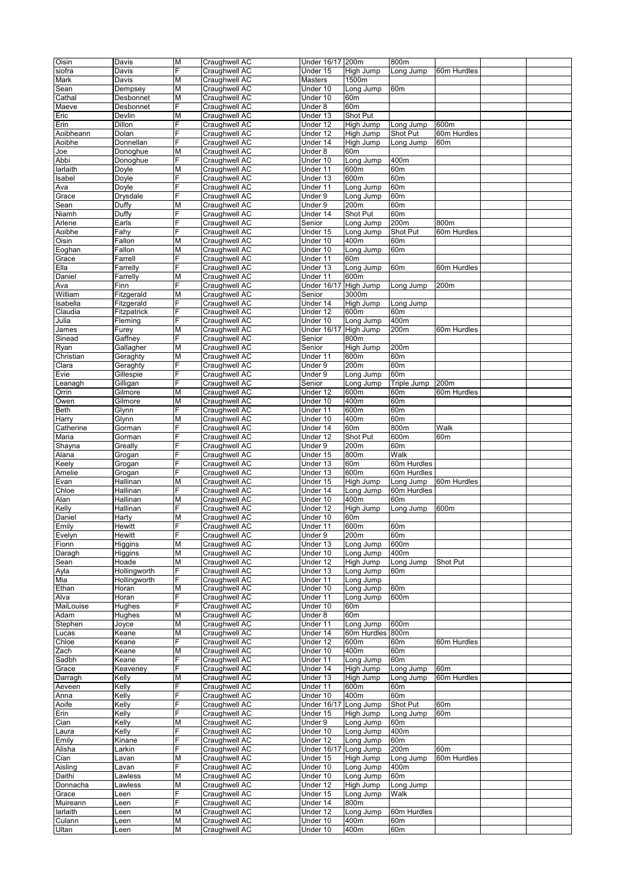| Oisin           | Davis        | M                       | Craughwell AC                  | Under 16/17 200m         |                  | 800m            |                 |  |
|-----------------|--------------|-------------------------|--------------------------------|--------------------------|------------------|-----------------|-----------------|--|
|                 |              | Ė                       |                                |                          |                  |                 |                 |  |
| siofra          | Davis        |                         | Craughwell AC                  | Under 15                 | High Jump        | Long Jump       | 60m Hurdles     |  |
| Mark            | Davis        | M                       | Craughwell AC                  | Masters                  | 1500m            |                 |                 |  |
| Sean            | Dempsey      | M                       | Craughwell AC                  | Under 10                 | Long Jump        | 60m             |                 |  |
| Cathal          | Desbonnet    | M                       | Craughwell AC                  | Under 10                 | 60m              |                 |                 |  |
| Maeve           | Desbonnet    | F                       | Craughwell AC                  | Under 8                  | 60m              |                 |                 |  |
| Eric            | Devlin       | M                       | Craughwell AC                  | Under 13                 | Shot Put         |                 |                 |  |
|                 |              |                         |                                |                          |                  |                 |                 |  |
| Erin            | Dillon       | F                       | Craughwell AC                  | Under 12                 | High Jump        | Long Jump       | 600m            |  |
| Aoibheann       | Dolan        | F                       | Craughwell AC                  | Under 12                 | High Jump        | Shot Put        | 60m Hurdles     |  |
| Aoibhe          | Donnellan    | E                       | Craughwell AC                  | Under 14                 | High Jump        | Long Jump       | 60m             |  |
| Joe             | Donoghue     | Μ                       | Craughwell AC                  | Under 8                  | 60m              |                 |                 |  |
| Abbi            | Donoghue     | F                       | Craughwell AC                  | Under 10                 | Long Jump        | 400m            |                 |  |
| larlaith        | Doyle        | M                       | Craughwell AC                  | Under 11                 | 600m             | 60m             |                 |  |
|                 |              | F                       |                                |                          |                  |                 |                 |  |
| Isabel          | Doyle        |                         | Craughwell AC                  | Under 13                 | 600m             | 60m             |                 |  |
| Ava             | Doyle        | Ė                       | Craughwell AC                  | Under 11                 | Long Jump        | 60m             |                 |  |
| Grace           | Drysdale     | F                       | Craughwell AC                  | Under 9                  | Long Jump        | 60m             |                 |  |
| Sean            | Duffy        | Μ                       | Craughwell AC                  | Under 9                  | 200m             | 60m             |                 |  |
| Niamh           | Duffy        | F                       | Craughwell AC                  | Under 14                 | Shot Put         | 60m             |                 |  |
| Arlene          | Earls        | F                       | Craughwell AC                  | Senior                   | Long Jump        | 200m            | 800m            |  |
| Aoibhe          | Fahy         | F                       | Craughwell AC                  | Under 15                 | Long Jump        | Shot Put        | 60m Hurdles     |  |
| Oisin           | Fallon       | Μ                       | Craughwell AC                  | Under 10                 | 400m             | 60m             |                 |  |
|                 |              |                         |                                |                          |                  |                 |                 |  |
| Eoghan          | Fallon       | Μ                       | Craughwell AC                  | Under 10                 | Long Jump        | 60m             |                 |  |
| Grace           | Farrell      | F                       | Craughwell AC                  | Under 11                 | 60 <sub>m</sub>  |                 |                 |  |
| Ella            | Farrelly     | F                       | Craughwell AC                  | Under 13                 | Long Jump        | 60m             | 60m Hurdles     |  |
| Daniel          | Farrelly     | M                       | Craughwell AC                  | Under 11                 | 600m             |                 |                 |  |
| Ava             | Finn         | F                       | Craughwell AC                  | <b>Under 16/17</b>       | High Jump        | Long Jump       | 200m            |  |
| William         | Fitzgerald   | M                       | Craughwell AC                  | Senior                   | 3000m            |                 |                 |  |
|                 |              | F                       |                                |                          |                  |                 |                 |  |
| Isabella        | Fitzgerald   |                         | Craughwell AC                  | Under 14                 | High Jump        | Long Jump       |                 |  |
| Claudia         | Fitzpatrick  | F                       | Craughwell AC                  | Under 12                 | 600m             | 60m             |                 |  |
| Julia           | Fleming      | E.                      | Craughwell AC                  | Under 10                 | Long Jump        | 400m            |                 |  |
| James           | Furey        | M                       | Craughwell AC                  | <b>Under 16/17</b>       | High Jump        | 200m            | 60m Hurdles     |  |
| Sinead          | Gaffney      | Ė                       | Craughwell AC                  | Senior                   | 800m             |                 |                 |  |
| Ryan            | Gallagher    | M                       | Craughwell AC                  | Senior                   | High Jump        | 200m            |                 |  |
| Christian       |              | M                       |                                |                          | 600m             | 60m             |                 |  |
|                 | Geraghty     |                         | Craughwell AC                  | Under 11                 |                  |                 |                 |  |
| Clara           | Geraghty     | E.                      | Craughwell AC                  | Under 9                  | 200m             | 60m             |                 |  |
| Evie            | Gillespie    | F                       | Craughwell AC                  | Under 9                  | Long Jump        | 60m             |                 |  |
| Leanagh         | Gilligan     | Ė                       | Craughwell AC                  | Senior                   | Long Jump        | Triple Jump     | 200m            |  |
| Orrin           | Gilmore      | M                       | Craughwell AC                  | Under 12                 | 600m             | 60 <sub>m</sub> | 60m Hurdles     |  |
| Owen            | Gilmore      | M                       | Craughwell AC                  | Under 10                 | 400m             | 60m             |                 |  |
|                 |              | E.                      |                                |                          | 600m             | 60 <sub>m</sub> |                 |  |
| Beth            | Glynn        |                         | Craughwell AC                  | Under 11                 |                  |                 |                 |  |
| Harry           | Glynn        | Μ                       | Craughwell AC                  | Under 10                 | 400m             | 60m             |                 |  |
| Catherine       | Gorman       | F                       | Craughwell AC                  | Under 14                 | 60m              | 800m            | Walk            |  |
| Maria           | Gorman       | F                       | Craughwell AC                  | Under 12                 | Shot Put         | 600m            | 60 <sub>m</sub> |  |
| Shayna          | Greally      | F                       | Craughwell AC                  | Under 9                  | 200m             | 60m             |                 |  |
| Alana           | Grogan       | E                       | Craughwell AC                  | Under 15                 | 800m             | Walk            |                 |  |
|                 |              | F                       |                                |                          |                  |                 |                 |  |
| Keely           | Grogan       |                         | Craughwell AC                  | Under 13                 | 60 <sub>m</sub>  | 60m Hurdles     |                 |  |
| Amelie          | Grogan       | F                       | Craughwell AC                  | Under 13                 | 600m             | 60m Hurdles     |                 |  |
| Evan            | Hallinan     | M                       | Craughwell AC                  | Under 15                 | High Jump        | Long Jump       | 60m Hurdles     |  |
| Chloe           | Hallinan     | F                       | Craughwell AC                  | Under 14                 | Long Jump        | 60m Hurdles     |                 |  |
| Alan            | Hallinan     | M                       | Craughwell AC                  | Under 10                 | 400m             | 60m             |                 |  |
| Kelly           | Hallinan     | F                       | Craughwell AC                  | Under 12                 | High Jump        | Long Jump       | 600m            |  |
|                 |              | M                       |                                | Under 10                 | 60m              |                 |                 |  |
| Daniel          | Harty        |                         | Craughwell AC                  |                          |                  |                 |                 |  |
| Emily           | Hewitt       | F                       | Craughwell AC                  | Under 11                 | 600m             | 60m             |                 |  |
| Evelyn          | Hewitt       | F                       | Craughwell AC                  | Under 9                  | 200m             | 60m             |                 |  |
| Fionn           | Higgins      | M                       | Craughwell AC                  | Under 13                 | Long Jump        | 600m            |                 |  |
| Daragh          | Higgins      | Μ                       | Craughwell AC                  | Under 10                 | Long Jump        | 400m            |                 |  |
| Sean            | Hoade        | М                       | Craughwell AC                  | Under 12                 | High Jump        | Long Jump       | Shot Put        |  |
|                 |              | F                       | Craughwell AC                  |                          |                  |                 |                 |  |
| Ayla            | Hollingworth |                         |                                | Under 13                 | Long Jump        | 60m             |                 |  |
| Mia             | Hollingworth | F                       | Craughwell AC                  | Under 11                 | Long Jump        |                 |                 |  |
| Ethan           | Horan        | М                       | Craughwell AC                  | Under 10                 | Long Jump        | 60m             |                 |  |
| Alva            | Horan        | F                       | Craughwell AC                  | Under 11                 | Long Jump        | 600m            |                 |  |
| MaiLouise       | Hughes       | F                       | Craughwell AC                  | Under 10                 | 60m              |                 |                 |  |
| Adam            | Hughes       | Μ                       | Craughwell AC                  | Under 8                  | 60m              |                 |                 |  |
| Stephen         | Joyce        | M                       | Craughwell AC                  | Under 11                 | Long Jump        | 600m            |                 |  |
| Lucas           | Keane        | $\overline{\mathsf{M}}$ | Craughwell AC                  | Under 14                 | 60m Hurdles      | 800m            |                 |  |
|                 |              |                         |                                |                          |                  |                 |                 |  |
| Chloe           | Keane        | F                       | Craughwell AC                  | Under 12                 | 600 <sub>m</sub> | 60m             | 60m Hurdles     |  |
| Zach            | Keane        | M                       | Craughwell AC                  | Under 10                 | 400m             | 60m             |                 |  |
| Sadbh           | Keane        | E.                      | Craughwell AC                  | Under 11                 | Long Jump        | 60m             |                 |  |
| Grace           | Keaveney     | F                       | Craughwell AC                  | Under 14                 | High Jump        | Long Jump       | 60 <sub>m</sub> |  |
| Darragh         | Kelly        | M                       | Craughwell AC                  | Under 13                 | High Jump        | Long Jump       | 60m Hurdles     |  |
| Aeveen          | Kelly        | F                       | Craughwell AC                  | Under 11                 | 600m             | 60m             |                 |  |
|                 | Kelly        | F                       | Craughwell AC                  | Under 10                 | 400m             | 60m             |                 |  |
| Anna            |              |                         |                                |                          |                  |                 |                 |  |
| Aoife           | Kelly        | F                       | Craughwell AC                  | $\overline{$ Under 16/17 | Long Jump        | Shot Put        | 60m             |  |
| Erin            | Kelly        | F                       | Craughwell AC                  | Under 15                 | High Jump        | Long Jump       | 60m             |  |
| Cian            | Kelly        | M                       | Craughwell AC                  | Under 9                  | Long Jump        | 60m             |                 |  |
| Laura           | Kelly        | F                       | Craughwell AC                  | Under 10                 | Long Jump        | 400m            |                 |  |
| Emily           | Kinane       | F                       | Craughwell AC                  | Under 12                 | Long Jump        | 60m             |                 |  |
| Alisha          | Larkin       | F                       | Craughwell AC                  | Under 16/17              | Long Jump        | 200m            | 60m             |  |
|                 |              |                         |                                |                          |                  |                 |                 |  |
| Cian            | Lavan        | M                       | Craughwell AC                  | Under 15                 | High Jump        | Long Jump       | 60m Hurdles     |  |
| Aisling         | Lavan        | E.                      | Craughwell AC                  | Under 10                 | Long Jump        | 400m            |                 |  |
| Daithi          | Lawless      | Μ                       | Craughwell AC                  | Under 10                 | Long Jump        | 60 <sub>m</sub> |                 |  |
| Donnacha        | Lawless      | M                       | Craughwell AC                  | Under 12                 | High Jump        | Long Jump       |                 |  |
| Grace           | Leen         | F                       | Craughwell AC                  | Under 15                 | Long Jump        | Walk            |                 |  |
| Muireann        | Leen         | F                       | Craughwell AC                  | Under 14                 | 800m             |                 |                 |  |
|                 |              |                         |                                |                          |                  |                 |                 |  |
|                 |              |                         |                                |                          |                  |                 |                 |  |
| larlaith        | Leen         | М                       | Craughwell AC                  | Under 12                 | Long Jump        | 60m Hurdles     |                 |  |
| Culann<br>Ultan | Leen<br>Leen | М<br>М                  | Craughwell AC<br>Craughwell AC | Under 10<br>Under 10     | 400m<br>400m     | 60m<br>60m      |                 |  |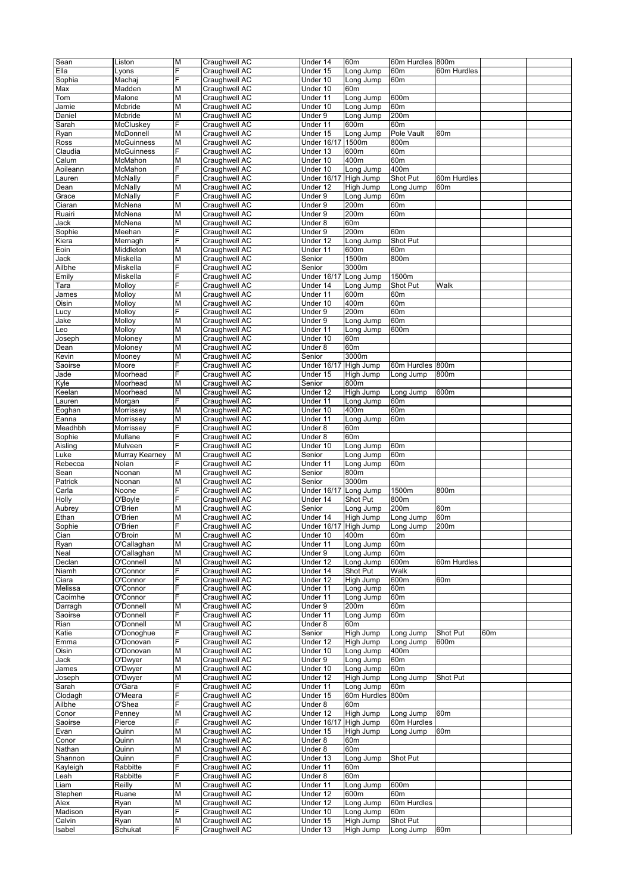| Sean             | Liston            | M       | Craughwell AC                  | Under 14              | 60m                    | 60m Hurdles 800m      |                 |     |  |
|------------------|-------------------|---------|--------------------------------|-----------------------|------------------------|-----------------------|-----------------|-----|--|
| Ella             | Lyons             | F       | Craughwell AC                  | Under 15              | Long Jump              | 60m                   | 60m Hurdles     |     |  |
| Sophia           | Machaj            | E.      | Craughwell AC                  | Under 10              | Long Jump              | 60m                   |                 |     |  |
| Max              | Madden            | Μ       | Craughwell AC                  | Under 10              | 60 <sub>m</sub>        |                       |                 |     |  |
|                  | Malone            |         | Craughwell AC                  |                       |                        | 600m                  |                 |     |  |
| Tom              |                   | M       |                                | Under 11              | Long Jump              |                       |                 |     |  |
| Jamie            | Mcbride           | M       | Craughwell AC                  | Under 10<br>Under 9   | Long Jump              | 60m                   |                 |     |  |
| Daniel           | Mcbride           | M       | Craughwell AC                  |                       | Long Jump              | 200m                  |                 |     |  |
| Sarah            | McCluskey         | E.      | Craughwell AC                  | Under 11              | 600m                   | 60m                   |                 |     |  |
| Ryan             | McDonnell         | Μ       | Craughwell AC                  | Under 15              | Long Jump              | Pole Vault            | 60m             |     |  |
| Ross             | McGuinness        | M       | Craughwell AC                  | <b>Under 16/17</b>    | 1500m                  | 800m                  |                 |     |  |
| Claudia          | <b>McGuinness</b> | F       | Craughwell AC                  | Under 13              | 600m                   | 60m                   |                 |     |  |
| Calum            | McMahon           | M       | Craughwell AC                  | Under 10              | 400m                   | 60m                   |                 |     |  |
| Aoileann         | McMahon           | E.      | Craughwell AC                  | Under 10              | Long Jump              | 400m                  |                 |     |  |
| Lauren           | McNally           | E       | Craughwell AC                  | <b>Under 16/17</b>    | High Jump              | Shot Put              | 60m Hurdles     |     |  |
|                  | McNally           |         | Craughwell AC                  |                       | High Jump              |                       | 60m             |     |  |
| Dean             |                   | M       |                                | Under 12              |                        | Long Jump             |                 |     |  |
| Grace            | McNally           | F       | Craughwell AC                  | Under 9               | Long Jump              | 60m                   |                 |     |  |
| Ciaran           | McNena            | M       | Craughwell AC                  | Under 9               | 200m                   | 60m                   |                 |     |  |
| Ruairi           | McNena            | M       | Craughwell AC                  | Under 9               | 200m                   | 60m                   |                 |     |  |
| Jack             | McNena            | M       | Craughwell AC                  | Under 8               | 60m                    |                       |                 |     |  |
| Sophie           | Meehan            | F       | Craughwell AC                  | Under 9               | 200m                   | 60m                   |                 |     |  |
| Kiera            | Mernagh           | F       | Craughwell AC                  | Under 12              | Long Jump              | Shot Put              |                 |     |  |
| Eoin             | Middleton         | M       | Craughwell AC                  | Under 11              | 600m                   | 60m                   |                 |     |  |
| Jack             | Miskella          | M       |                                | Senior                | 1500m                  | 800m                  |                 |     |  |
|                  |                   |         | Craughwell AC                  |                       |                        |                       |                 |     |  |
| Ailbhe           | Miskella          | E.      | Craughwell AC                  | Senior                | 3000m                  |                       |                 |     |  |
| Emily            | Miskella          | F       | Craughwell AC                  | <b>Under 16/17</b>    | Long Jump              | 1500m                 |                 |     |  |
| Tara             | Molloy            | F       | Craughwell AC                  | Under 14              | Long Jump              | Shot Put              | Walk            |     |  |
| James            | Molloy            | M       | Craughwell AC                  | Under 11              | 600m                   | 60m                   |                 |     |  |
| Oisin            | Molloy            | M       | Craughwell AC                  | Under 10              | 400m                   | 60m                   |                 |     |  |
| Lucy             | Molloy            | E.      | Craughwell AC                  | Under 9               | 200m                   | 60m                   |                 |     |  |
| Jake             | Molloy            | M       | Craughwell AC                  | Under 9               | Long Jump              | 60m                   |                 |     |  |
|                  |                   |         |                                |                       |                        |                       |                 |     |  |
| Leo              | Molloy            | M       | Craughwell AC                  | Under 11              | Long Jump              | 600m                  |                 |     |  |
| Joseph           | Moloney           | M       | Craughwell AC                  | Under 10              | 60m                    |                       |                 |     |  |
| Dean             | Moloney           | M       | Craughwell AC                  | Under 8               | 60m                    |                       |                 |     |  |
| Kevin            | Mooney            | Μ       | Craughwell AC                  | Senior                | 3000m                  |                       |                 |     |  |
| Saoirse          | Moore             | F       | Craughwell AC                  | <b>Under 16/17</b>    | High Jump              | 60m Hurdles 800m      |                 |     |  |
| Jade             | Moorhead          | F       | Craughwell AC                  | Under 15              | High Jump              | Long Jump             | 800m            |     |  |
| Kyle             | Moorhead          | M       | Craughwell AC                  | Senior                | 800m                   |                       |                 |     |  |
| Keelan           | Moorhead          | M       | Craughwell AC                  | Under 12              | High Jump              | Long Jump             | 600m            |     |  |
|                  |                   |         |                                |                       |                        |                       |                 |     |  |
| Lauren           | Morgan            | E.      | Craughwell AC                  | Under 11              | Long Jump              | 60m                   |                 |     |  |
| Eoghan           | Morrissey         | M       | Craughwell AC                  | Under 10              | 400m                   | 60m                   |                 |     |  |
| Eanna            | Morrissey         | M       | Craughwell AC                  | Under 11              | Long Jump              | 60m                   |                 |     |  |
| Meadhbh          | Morrissey         | F       | Craughwell AC                  | Under 8               | 60m                    |                       |                 |     |  |
| Sophie           | Mullane           | E.      | Craughwell AC                  | Under 8               | 60m                    |                       |                 |     |  |
| Aisling          | Mulveen           | E       | Craughwell AC                  | Under 10              | Long Jump              | 60m                   |                 |     |  |
| Luke             | Murray Kearney    | М       | Craughwell AC                  | Senior                | Long Jump              | 60m                   |                 |     |  |
|                  |                   | F       |                                |                       |                        |                       |                 |     |  |
| Rebecca          | Nolan             |         | Craughwell AC                  | Under 11              | Long Jump              | 60m                   |                 |     |  |
| Sean             | Noonan            | M       | Craughwell AC                  | Senior                | 800m                   |                       |                 |     |  |
| Patrick          | Noonan            | M       | Craughwell AC                  | Senior                | 3000m                  |                       |                 |     |  |
| Carla            | Noone             | E.      | Craughwell AC                  | <b>Under 16/17</b>    | Long Jump              | 1500m                 | 800m            |     |  |
| Holly            | O'Boyle           | F       | Craughwell AC                  | Under 14              | Shot Put               | 800m                  |                 |     |  |
| Aubrey           | O'Brien           | M       | Craughwell AC                  | Senior                | Long Jump              | 200m                  | 60m             |     |  |
| Ethan            | O'Brien           | M       | Craughwell AC                  | Under 14              | High Jump              | Long Jump             | 60m             |     |  |
| Sophie           | O'Brien           | F       | Craughwell AC                  | Under 16/17 High Jump |                        | Long Jump             | 200m            |     |  |
|                  |                   |         |                                |                       |                        |                       |                 |     |  |
| Cian             | O'Broin           | M       | Craughwell AC                  | Under 10              | 400m                   | 60m                   |                 |     |  |
| Ryan             | O'Callaghan       | M       | Craughwell AC                  | Under 11              | Long Jump              | 60m                   |                 |     |  |
| Neal             | O'Callaghan       | М       | Craughwell AC                  | Under 9               | Long Jump              | 60m                   |                 |     |  |
| Declan           | O'Connell         | Μ       | Craughwell AC                  | Under 12              | Long Jump              | 600m                  | 60m Hurdles     |     |  |
| Niamh            | O'Connor          | E.      | Craughwell AC                  | Under 14              | Shot Put               | Walk                  |                 |     |  |
| Ciara            | O'Connor          | E.      | Craughwell AC                  | Under 12              | High Jump              | 600m                  | 60 <sub>m</sub> |     |  |
| Melissa          | O'Connor          | F       | Craughwell AC                  | Under 11              | Long Jump              | 60m                   |                 |     |  |
|                  |                   | F       |                                |                       |                        |                       |                 |     |  |
| Caoimhe          | O'Connor          |         | Craughwell AC                  | Under 11              | Long Jump              | 60m                   |                 |     |  |
| Darragh          | O'Donnell         | M       | Craughwell AC                  | Under 9               | 200m                   | 60m                   |                 |     |  |
| Saoirse          | O'Donnell         | E.      | Craughwell AC                  | Under 11              | Long Jump              | 60m                   |                 |     |  |
| Rian             | O'Donnell         | M       | Craughwell AC                  | Under 8               | 60m                    |                       |                 |     |  |
| Katie            | O'Donoghue        | F       | Craughwell AC                  | Senior                | High Jump              | Long Jump             | Shot Put        | 60m |  |
| Emma             | O'Donovan         | F       | Craughwell AC                  | Under 12              | High Jump              | Long Jump             | 600m            |     |  |
| Oisin            | O'Donovan         | M       | Craughwell AC                  | Under 10              | Long Jump              | 400m                  |                 |     |  |
| Jack             | O'Dwyer           | М       | Craughwell AC                  | Under 9               | Long Jump              | 60m                   |                 |     |  |
| James            | O'Dwyer           | Μ       | Craughwell AC                  | Under 10              | Long Jump              | 60m                   |                 |     |  |
|                  |                   |         |                                |                       |                        |                       |                 |     |  |
| Joseph           | O'Dwyer           | M       | Craughwell AC                  | Under 12              | High Jump              | Long Jump             | Shot Put        |     |  |
| Sarah            | O'Gara            | F       | Craughwell AC                  | Under 11              | Long Jump              | 60m                   |                 |     |  |
| Clodagh          | O'Meara           | F       | Craughwell AC                  | Under 15              | 60m Hurdles            | 800m                  |                 |     |  |
| Ailbhe           | O'Shea            | E.      | Craughwell AC                  | Under 8               | 60m                    |                       |                 |     |  |
| Conor            | Penney            | Μ       | Craughwell AC                  | Under 12              | High Jump              | Long Jump             | 60 <sub>m</sub> |     |  |
| Saoirse          | Pierce            | F       | Craughwell AC                  | <b>Under 16/17</b>    | High Jump              | 60m Hurdles           |                 |     |  |
| Evan             | Quinn             | М       | Craughwell AC                  | Under 15              | High Jump              | Long Jump             | 60m             |     |  |
| Conor            | Quinn             | М       | Craughwell AC                  | Under 8               | 60m                    |                       |                 |     |  |
|                  |                   |         |                                |                       |                        |                       |                 |     |  |
| Nathan           | Quinn             | М       | Craughwell AC                  | Under 8               | 60m                    |                       |                 |     |  |
| Shannon          | Quinn             | E.      | Craughwell AC                  | Under 13              | Long Jump              | Shot Put              |                 |     |  |
| Kayleigh         | Rabbitte          | F       | Craughwell AC                  | Under 11              | 60m                    |                       |                 |     |  |
| Leah             | Rabbitte          | F       | Craughwell AC                  | Under 8               | 60m                    |                       |                 |     |  |
| Liam             | Reilly            | M       | Craughwell AC                  | Under 11              | Long Jump              | 600m                  |                 |     |  |
| Stephen          | Ruane             | М       | Craughwell AC                  | Under 12              | 600m                   | 60m                   |                 |     |  |
| Alex             | Ryan              | Μ       | Craughwell AC                  | Under 12              | Long Jump              | 60m Hurdles           |                 |     |  |
|                  | Ryan              | E.      |                                |                       |                        |                       |                 |     |  |
| Madison          |                   |         | Craughwell AC                  | Under 10              | Long Jump              | 60m                   |                 |     |  |
|                  |                   |         |                                |                       |                        |                       |                 |     |  |
| Calvin<br>Isabel | Ryan<br>Schukat   | М<br>E. | Craughwell AC<br>Craughwell AC | Under 15<br>Under 13  | High Jump<br>High Jump | Shot Put<br>Long Jump | 60m             |     |  |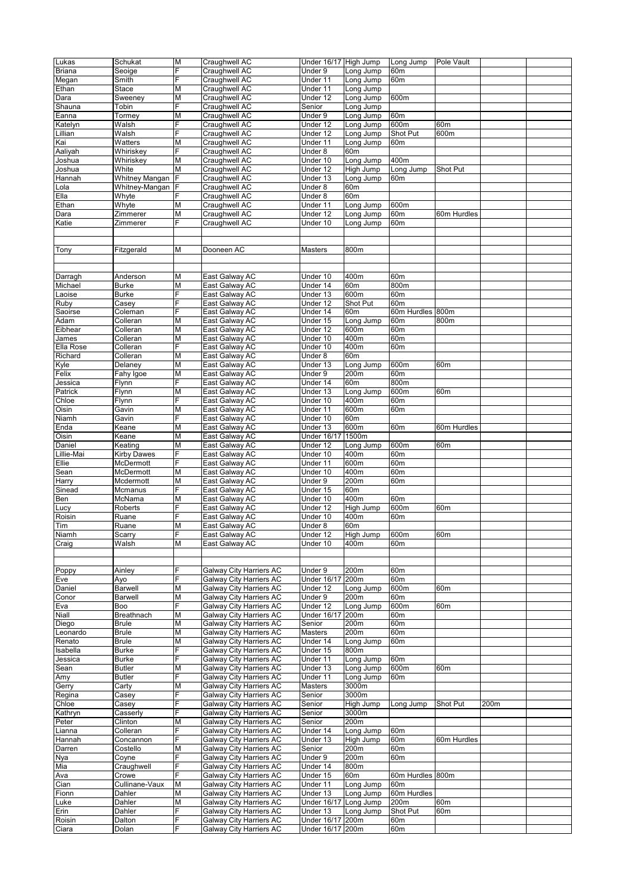| Lukas         | Schukat            | M  | Craughwell AC           | Under 16/17 High Jump |                 | Long Jump        | Pole Vault      |      |  |
|---------------|--------------------|----|-------------------------|-----------------------|-----------------|------------------|-----------------|------|--|
| <b>Briana</b> | Seoige             | F  | Craughwell AC           | Under 9               | Long Jump       | 60m              |                 |      |  |
|               |                    | E. |                         |                       |                 |                  |                 |      |  |
| Megan         | Smith              |    | Craughwell AC           | Under 11              | Long Jump       | 60m              |                 |      |  |
| Ethan         | Stace              | M  | Craughwell AC           | Under 11              | Long Jump       |                  |                 |      |  |
| Dara          | Sweeney            | М  | Craughwell AC           | Under 12              | Long Jump       | 600m             |                 |      |  |
| Shauna        | Tobin              | F  | Craughwell AC           | Senior                | Long Jump       |                  |                 |      |  |
| Eanna         | Tormey             | M  | Craughwell AC           | Under 9               | Long Jump       | 60m              |                 |      |  |
| Katelyn       | Walsh              | E. | Craughwell AC           | Under 12              | Long Jump       | 600m             | 60m             |      |  |
|               |                    |    |                         |                       |                 |                  |                 |      |  |
| Lillian       | Walsh              | F  | Craughwell AC           | Under 12              | Long Jump       | Shot Put         | 600m            |      |  |
| Kai           | Watters            | М  | Craughwell AC           | Under 11              | Long Jump       | 60m              |                 |      |  |
| Aaliyah       | Whiriskey          | F  | Craughwell AC           | Under 8               | 60m             |                  |                 |      |  |
| Joshua        | Whiriskey          | M  | Craughwell AC           | Under 10              | Long Jump       | 400m             |                 |      |  |
|               | White              | M  | Craughwell AC           | Under 12              | High Jump       |                  | Shot Put        |      |  |
| Joshua        |                    |    |                         |                       |                 | Long Jump        |                 |      |  |
| Hannah        | Whitney Mangan     | E. | Craughwell AC           | Under 13              | Long Jump       | 60m              |                 |      |  |
| Lola          | Whitney-Mangan     | F  | Craughwell AC           | Under 8               | 60 <sub>m</sub> |                  |                 |      |  |
| Ella          | Whyte              | F  | Craughwell AC           | Under 8               | 60m             |                  |                 |      |  |
| Ethan         | Whyte              | M  | Craughwell AC           | Under 11              | Long Jump       | 600m             |                 |      |  |
|               |                    |    |                         |                       |                 |                  |                 |      |  |
| Dara          | Zimmerer           | М  | Craughwell AC           | Under 12              | Long Jump       | 60m              | 60m Hurdles     |      |  |
| Katie         | Zimmerer           | E. | Craughwell AC           | Under 10              | Long Jump       | 60m              |                 |      |  |
|               |                    |    |                         |                       |                 |                  |                 |      |  |
|               |                    |    |                         |                       |                 |                  |                 |      |  |
|               |                    |    | Dooneen AC              |                       | 800m            |                  |                 |      |  |
| Tony          | Fitzgerald         | Μ  |                         | Masters               |                 |                  |                 |      |  |
|               |                    |    |                         |                       |                 |                  |                 |      |  |
|               |                    |    |                         |                       |                 |                  |                 |      |  |
| Darragh       | Anderson           | М  | East Galway AC          | Under 10              | 400m            | 60 <sub>m</sub>  |                 |      |  |
|               |                    | M  | East Galway AC          |                       | 60m             | 800m             |                 |      |  |
| Michael       | <b>Burke</b>       |    |                         | Under 14              |                 |                  |                 |      |  |
| Laoise        | <b>Burke</b>       | F  | East Galway AC          | Under 13              | 600m            | 60m              |                 |      |  |
| Ruby          | Casey              | E. | East Galway AC          | Under 12              | Shot Put        | 60m              |                 |      |  |
| Saoirse       | Coleman            | F  | East Galway AC          | Under 14              | 60m             | 60m Hurdles 800m |                 |      |  |
| Adam          | Colleran           | M  | East Galway AC          | Under 15              | Long Jump       | 60m              | 800m            |      |  |
|               |                    |    |                         |                       |                 |                  |                 |      |  |
| Eibhear       | Colleran           | M  | East Galway AC          | Under 12              | 600m            | 60m              |                 |      |  |
| James         | Colleran           | Μ  | East Galway AC          | Under 10              | 400m            | 60 <sub>m</sub>  |                 |      |  |
| Ella Rose     | Colleran           | E. | East Galway AC          | Under 10              | 400m            | 60m              |                 |      |  |
| Richard       | Colleran           | Μ  | East Galway AC          | Under 8               | 60m             |                  |                 |      |  |
| Kyle          | Delaney            | M  | East Galway AC          | Under 13              | Long Jump       | 600m             | 60m             |      |  |
|               |                    |    |                         |                       |                 |                  |                 |      |  |
| Felix         | Fahy Igoe          | Μ  | East Galway AC          | Under 9               | 200m            | 60m              |                 |      |  |
| Jessica       | Flynn              | E. | East Galway AC          | Under 14              | 60m             | 800m             |                 |      |  |
| Patrick       | Flynn              | Μ  | East Galway AC          | Under 13              | Long Jump       | 600m             | 60m             |      |  |
| Chloe         | Flynn              | F  | East Galway AC          | Under 10              | 400m            | 60m              |                 |      |  |
|               |                    |    |                         |                       |                 |                  |                 |      |  |
| Oisin         | Gavin              | M  | East Galway AC          | Under 11              | 600m            | 60m              |                 |      |  |
| Niamh         | Gavin              | F  | East Galway AC          | Under 10              | 60m             |                  |                 |      |  |
| Enda          | Keane              | M  | East Galway AC          | Under 13              | 600m            | 60m              | 60m Hurdles     |      |  |
| Oisin         | Keane              | M  | East Galway AC          | <b>Under 16/17</b>    | 1500m           |                  |                 |      |  |
| Daniel        | Keating            | M  | East Galway AC          | Under 12              | Long Jump       | 600m             | 60m             |      |  |
|               |                    |    |                         |                       |                 |                  |                 |      |  |
| Lillie-Mai    | <b>Kirby Dawes</b> | F  | East Galway AC          | Under 10              | 400m            | 60m              |                 |      |  |
| Ellie         | McDermott          | Ė  | East Galway AC          | Under 11              | 600m            | 60m              |                 |      |  |
| Sean          | McDermott          | М  | East Galway AC          | Under 10              | 400m            | 60m              |                 |      |  |
| Harry         | Mcdermott          | M  | East Galway AC          | Under 9               | 200m            | 60m              |                 |      |  |
|               |                    |    |                         |                       |                 |                  |                 |      |  |
| Sinead        | Mcmanus            | F  | East Galway AC          | Under 15              | 60m             |                  |                 |      |  |
| Ben           | McNama             | M  | East Galway AC          | Under 10              | 400m            | 60m              |                 |      |  |
| Lucy          | Roberts            | F  | East Galway AC          | Under 12              | High Jump       | 600m             | 60 <sub>m</sub> |      |  |
| Roisin        | Ruane              | F  | East Galway AC          | Under 10              | 400m            | 60m              |                 |      |  |
|               |                    |    |                         |                       |                 |                  |                 |      |  |
| Tim           | Ruane              | M  | East Galway AC          | Under 8               | 60m             |                  |                 |      |  |
| Niamh         | Scarry             | ΙF | East Galway AC          | Under 12              | High Jump       | 600m             | 60m             |      |  |
| Craig         | Walsh              | M  | East Galway AC          | Under 10              | 400m            | 60m              |                 |      |  |
|               |                    |    |                         |                       |                 |                  |                 |      |  |
|               |                    |    |                         |                       |                 |                  |                 |      |  |
|               |                    |    |                         |                       |                 |                  |                 |      |  |
| Poppy         | Ainley             | F  | Galway City Harriers AC | Under 9               | 200m            | 60m              |                 |      |  |
| Eve           | Ayo                | F  | Galway City Harriers AC | <b>Under 16/17</b>    | 200m            | 60m              |                 |      |  |
| Daniel        | <b>Barwell</b>     | M  | Galway City Harriers AC | Under 12              | Long Jump       | 600m             | 60m             |      |  |
| Conor         | <b>Barwell</b>     | Μ  | Galway City Harriers AC | Under 9               | 200m            | 60m              |                 |      |  |
| Eva           | Boo                | F  | Galway City Harriers AC | Under 12              | Long Jump       | 600m             | 60m             |      |  |
|               |                    |    | Galway City Harriers AC |                       |                 |                  |                 |      |  |
| Niall         | Breathnach         | M  |                         | <b>Under 16/17</b>    | 200m            | 60m              |                 |      |  |
| Diego         | <b>Brule</b>       | Μ  | Galway City Harriers AC | Senior                | 200m            | 60m              |                 |      |  |
| Leonardo      | <b>Brule</b>       | M  | Galway City Harriers AC | <b>Masters</b>        | 200m            | 60m              |                 |      |  |
| Renato        | <b>Brule</b>       | Μ  | Galway City Harriers AC | Under 14              | Long Jump       | 60m              |                 |      |  |
| Isabella      | <b>Burke</b>       | E. | Galway City Harriers AC | Under 15              | 800m            |                  |                 |      |  |
|               |                    | F  |                         |                       |                 |                  |                 |      |  |
| Jessica       | <b>Burke</b>       |    | Galway City Harriers AC | Under 11              | Long Jump       | 60m              |                 |      |  |
| Sean          | <b>Butler</b>      | Μ  | Galway City Harriers AC | Under 13              | Long Jump       | 600m             | 60m             |      |  |
| Amy           | <b>Butler</b>      | F  | Galway City Harriers AC | Under 11              | Long Jump       | 60m              |                 |      |  |
| Gerry         | Carty              | М  | Galway City Harriers AC | Masters               | 3000m           |                  |                 |      |  |
| Regina        | Casey              | E. | Galway City Harriers AC | Senior                | 3000m           |                  |                 |      |  |
|               |                    | F  |                         |                       |                 |                  |                 |      |  |
| Chloe         | Casey              |    | Galway City Harriers AC | Senior                | High Jump       | Long Jump        | Shot Put        | 200m |  |
| Kathryn       | Casserly           | F  | Galway City Harriers AC | Senior                | 3000m           |                  |                 |      |  |
| Peter         | Clinton            | M  | Galway City Harriers AC | Senior                | 200m            |                  |                 |      |  |
| Lianna        | Colleran           | F  | Galway City Harriers AC | Under 14              | Long Jump       | 60m              |                 |      |  |
| Hannah        | Concannon          | F  | Galway City Harriers AC | Under 13              | High Jump       | 60m              | 60m Hurdles     |      |  |
|               |                    |    |                         |                       |                 |                  |                 |      |  |
| Darren        | Costello           | M  | Galway City Harriers AC | Senior                | 200m            | 60m              |                 |      |  |
| Nya           | Coyne              | F  | Galway City Harriers AC | Under 9               | 200m            | 60m              |                 |      |  |
| Mia           | Craughwell         | F  | Galway City Harriers AC | Under 14              | 800m            |                  |                 |      |  |
| Ava           | Crowe              | F  | Galway City Harriers AC | Under 15              | 60m             | 60m Hurdles 800m |                 |      |  |
| Cian          | Cullinane-Vaux     | М  | Galway City Harriers AC | Under 11              | Long Jump       | 60m              |                 |      |  |
|               |                    |    |                         |                       |                 |                  |                 |      |  |
| Fionn         | Dahler             | M  | Galway City Harriers AC | $\overline{$ Under 13 | Long Jump       | 60m Hurdles      |                 |      |  |
| Luke          | Dahler             | Μ  | Galway City Harriers AC | <b>Under 16/17</b>    | Long Jump       | 200m             | 60m             |      |  |
| Erin          | Dahler             | F  | Galway City Harriers AC | Under 13              | Long Jump       | Shot Put         | 60m             |      |  |
| Roisin        | Dalton             | F  | Galway City Harriers AC | Under 16/17           | 200m            | 60m              |                 |      |  |
| Ciara         | Dolan              | F  | Galway City Harriers AC | Under 16/17 200m      |                 | 60m              |                 |      |  |
|               |                    |    |                         |                       |                 |                  |                 |      |  |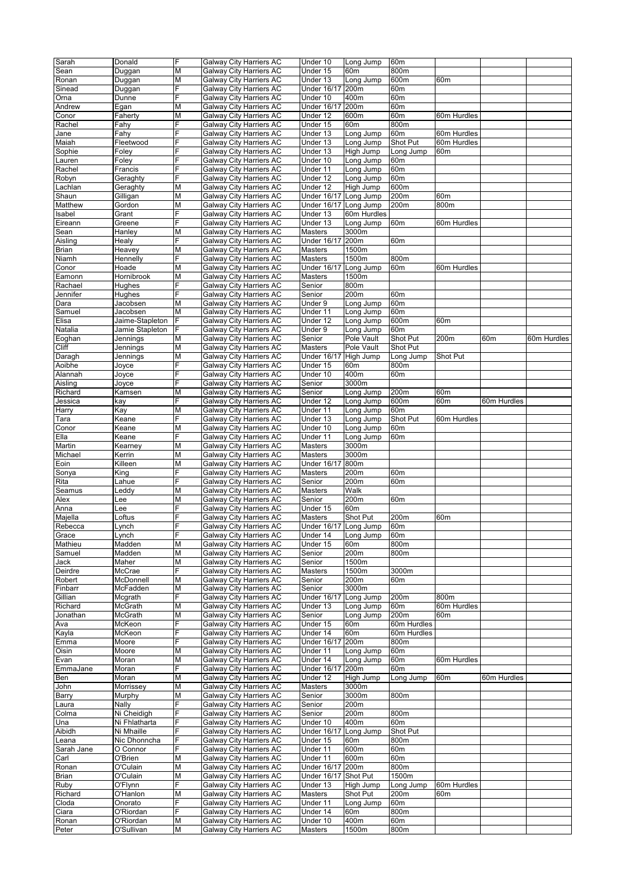| Sarah          | Donald          | F | Galway City Harriers AC | Under 10              | Long Jump       | 60m             |                 |             |             |
|----------------|-----------------|---|-------------------------|-----------------------|-----------------|-----------------|-----------------|-------------|-------------|
| Sean           | Duggan          | M | Galway City Harriers AC | Under 15              | 60 <sub>m</sub> | 800m            |                 |             |             |
|                |                 |   |                         |                       |                 |                 |                 |             |             |
| Ronan          | Duggan          | M | Galway City Harriers AC | Under 13              | Long Jump       | 600m            | 60m             |             |             |
| Sinead         | Duggan          | F | Galway City Harriers AC | <b>Under 16/17</b>    | 200m            | 60m             |                 |             |             |
| Orna           | Dunne           | F | Galway City Harriers AC | Under 10              | 400m            | 60m             |                 |             |             |
| Andrew         | Egan            | M | Galway City Harriers AC | <b>Under 16/17</b>    | 200m            | 60m             |                 |             |             |
| Conor          | Faherty         | M | Galway City Harriers AC | Under 12              | 600m            | 60 <sub>m</sub> | 60m Hurdles     |             |             |
| Rachel         | Fahy            | F | Galway City Harriers AC | Under 15              | 60m             | 800m            |                 |             |             |
| Jane           | Fahy            | F | Galway City Harriers AC | Under 13              | Long Jump       | 60m             | 60m Hurdles     |             |             |
| Maiah          | Fleetwood       | F | Galway City Harriers AC | Under 13              | Long Jump       | Shot Put        | 60m Hurdles     |             |             |
| Sophie         | Foley           | F | Galway City Harriers AC | Under 13              | High Jump       | Long Jump       | 60 <sub>m</sub> |             |             |
| Lauren         | Foley           | F | Galway City Harriers AC | Under 10              | Long Jump       | 60m             |                 |             |             |
| Rachel         | Francis         | F | Galway City Harriers AC | Under 11              | Long Jump       | 60m             |                 |             |             |
| Robyn          | Geraghty        | F | Galway City Harriers AC | Under 12              | Long Jump       | 60m             |                 |             |             |
|                |                 |   |                         |                       |                 |                 |                 |             |             |
| Lachlan        | Geraghty        | M | Galway City Harriers AC | Under 12              | High Jump       | 600m            |                 |             |             |
| Shaun          | Gilligan        | M | Galway City Harriers AC | Under 16/17           | Long Jump       | 200m            | 60 <sub>m</sub> |             |             |
| Matthew        | Gordon          | M | Galway City Harriers AC | Under 16/17 Long Jump |                 | 200m            | 800m            |             |             |
| Isabel         | Grant           | F | Galway City Harriers AC | Under 13              | 60m Hurdles     |                 |                 |             |             |
| Eireann        | Greene          | F | Galway City Harriers AC | Under 13              | Long Jump       | 60m             | 60m Hurdles     |             |             |
| Sean           | Hanley          | M | Galway City Harriers AC | Masters               | 3000m           |                 |                 |             |             |
| Aisling        | Healy           | F | Galway City Harriers AC | Under 16/17 200m      |                 | 60m             |                 |             |             |
| Brian          | Heavey          | M | Galway City Harriers AC | Masters               | 1500m           |                 |                 |             |             |
| Niamh          | Hennelly        | F | Galway City Harriers AC | Masters               | 1500m           | 800m            |                 |             |             |
| Conor          | Hoade           | M | Galway City Harriers AC | <b>Under 16/17</b>    | Long Jump       | 60m             | 60m Hurdles     |             |             |
| Eamonn         | Hornibrook      | M | Galway City Harriers AC | Masters               | 1500m           |                 |                 |             |             |
| Rachael        | Hughes          | F | Galway City Harriers AC | Senior                | 800m            |                 |                 |             |             |
| Jennifer       | Hughes          | F | Galway City Harriers AC | Senior                | 200m            | 60m             |                 |             |             |
| Dara           | Jacobsen        | M | Galway City Harriers AC | Under 9               | Long Jump       | 60m             |                 |             |             |
| Samuel         | Jacobsen        | M | Galway City Harriers AC | Under 11              | Long Jump       | 60m             |                 |             |             |
|                |                 | F | Galway City Harriers AC |                       |                 |                 |                 |             |             |
| Elisa          | Jaime-Stapleton |   |                         | Under 12              | Long Jump       | 600m            | 60 <sub>m</sub> |             |             |
| Natalia        | Jamie Stapleton | F | Galway City Harriers AC | Under 9               | Long Jump       | 60m             |                 |             |             |
| Eoghan         | Jennings        | M | Galway City Harriers AC | Senior                | Pole Vault      | Shot Put        | 200m            | 60m         | 60m Hurdles |
| Cliff          | Jennings        | M | Galway City Harriers AC | <b>Masters</b>        | Pole Vault      | Shot Put        |                 |             |             |
| Daragh         | Jennings        | M | Galway City Harriers AC | <b>Under 16/17</b>    | High Jump       | Long Jump       | Shot Put        |             |             |
| Aoibhe         | Joyce           | F | Galway City Harriers AC | Under 15              | 60m             | 800m            |                 |             |             |
| Alannah        | Joyce           | F | Galway City Harriers AC | Under 10              | 400m            | 60m             |                 |             |             |
| Aisling        | Joyce           | F | Galway City Harriers AC | Senior                | 3000m           |                 |                 |             |             |
| Richard        | Kamsen          | M | Galway City Harriers AC | Senior                | Long Jump       | 200m            | 60m             |             |             |
| Jessica        | kay             | F | Galway City Harriers AC | Under 12              | Long Jump       | 600m            | 60 <sub>m</sub> | 60m Hurdles |             |
| Harry          | Kay             | M | Galway City Harriers AC | Under 11              | Long Jump       | 60m             |                 |             |             |
| Tara           | Keane           | F | Galway City Harriers AC | Under 13              | Long Jump       | Shot Put        | 60m Hurdles     |             |             |
| Conor          | Keane           | M | Galway City Harriers AC | Under 10              | Long Jump       | 60m             |                 |             |             |
|                |                 | F |                         |                       |                 |                 |                 |             |             |
| Ella           | Keane           |   | Galway City Harriers AC | Under 11              | Long Jump       | 60m             |                 |             |             |
| Martin         | Kearney         | М | Galway City Harriers AC | Masters               | 3000m           |                 |                 |             |             |
| Michael        | Kerrin          | M | Galway City Harriers AC | Masters               | 3000m           |                 |                 |             |             |
| Eoin           | Killeen         | M | Galway City Harriers AC | <b>Under 16/17</b>    | 800m            |                 |                 |             |             |
| Sonya          | King            | F | Galway City Harriers AC | Masters               | 200m            | 60m             |                 |             |             |
| Rita           | Lahue           | F | Galway City Harriers AC | Senior                | 200m            | 60m             |                 |             |             |
| Seamus         | _eddy           | М | Galway City Harriers AC | <b>Masters</b>        | Walk            |                 |                 |             |             |
| Alex           | Lee             | M | Galway City Harriers AC | Senior                | 200m            | 60m             |                 |             |             |
| Anna           | Lee             | F | Galway City Harriers AC | Under 15              | 60m             |                 |                 |             |             |
| Majella        | ∟oftus          | F | Galway City Harriers AC | Masters               | Shot Put        | 200m            | 60m             |             |             |
| Rebecca        | Lynch           | F | Galway City Harriers AC | Under 16/17 Long Jump |                 | 60m             |                 |             |             |
| Grace          | Lynch           |   | Galway City Harriers AC | Under 14              | Long Jump       | 60m             |                 |             |             |
| Mathieu        | Madden          | M | Galway City Harriers AC | Under 15              | 60m             | 800m            |                 |             |             |
| Samuel         | Madden          | М | Galway City Harriers AC | Senior                | 200m            | 800m            |                 |             |             |
| Jack           | Maher           | M | Galway City Harriers AC | Senior                | 1500m           |                 |                 |             |             |
| Deirdre        | McCrae          | F | Galway City Harriers AC | Masters               | 1500m           | 3000m           |                 |             |             |
| Robert         | McDonnell       | M | Galway City Harriers AC | Senior                | 200m            | 60m             |                 |             |             |
| Finbarr        | McFadden        | М | Galway City Harriers AC | Senior                | 3000m           |                 |                 |             |             |
| Gillian        | Mcgrath         | F | Galway City Harriers AC | Under 16/17           | Long Jump       | 200m            | 800m            |             |             |
| Richard        | McGrath         | M | Galway City Harriers AC | Under 13              | Long Jump       | 60m             | 60m Hurdles     |             |             |
| Jonathan       | McGrath         | M | Galway City Harriers AC | Senior                | Long Jump       | 200m            | 60 <sub>m</sub> |             |             |
| Ava            | McKeon          | F | Galway City Harriers AC | Under 15              | 60 <sub>m</sub> | 60m Hurdles     |                 |             |             |
|                |                 | F | Galway City Harriers AC |                       |                 |                 |                 |             |             |
| Kayla          | McKeon          |   |                         | Under 14              | 60m             | 60m Hurdles     |                 |             |             |
| Emma           | Moore           | F | Galway City Harriers AC | Under 16/17 200m      |                 | 800m            |                 |             |             |
| Oisin          | Moore           | M | Galway City Harriers AC | Under 11              | Long Jump       | 60m             |                 |             |             |
| Evan           | Moran           | M | Galway City Harriers AC | Under 14              | Long Jump       | 60m             | 60m Hurdles     |             |             |
| EmmaJane       | Moran           | F | Galway City Harriers AC | Under 16/17           | 200m            | 60m             |                 |             |             |
| Ben            | Moran           | M | Galway City Harriers AC | Under 12              | High Jump       | Long Jump       | 60m             | 60m Hurdles |             |
| John           | Morrissey       | M | Galway City Harriers AC | Masters               | 3000m           |                 |                 |             |             |
| Barry          | Murphy          | M | Galway City Harriers AC | Senior                | 3000m           | 800m            |                 |             |             |
| Laura          | Nally           | F | Galway City Harriers AC | Senior                | 200m            |                 |                 |             |             |
| Colma          | Ni Cheidigh     | F | Galway City Harriers AC | Senior                | 200m            | 800m            |                 |             |             |
| Una            | Ni Fhlatharta   | F | Galway City Harriers AC | Under 10              | 400m            | 60m             |                 |             |             |
| Aibidh         | Ni Mhaille      | F | Galway City Harriers AC | <b>Under 16/17</b>    | Long Jump       | Shot Put        |                 |             |             |
| Leana          | Nic Dhonncha    | F | Galway City Harriers AC | Under 15              | 60m             | 800m            |                 |             |             |
| Sarah Jane     | O Connor        | F | Galway City Harriers AC | Under 11              | 600m            | 60m             |                 |             |             |
| Carl           | O'Brien         | M | Galway City Harriers AC | Under 11              | 600m            | 60m             |                 |             |             |
| Ronan          | O'Culain        | M | Galway City Harriers AC | Under 16/17 200m      |                 | 800m            |                 |             |             |
| Brian          | O'Culain        | М | Galway City Harriers AC | Under 16/17 Shot Put  |                 | 1500m           |                 |             |             |
| Ruby           | O'Flynn         | F | Galway City Harriers AC | Under 13              | High Jump       | Long Jump       | 60m Hurdles     |             |             |
| Richard        | O'Hanlon        | M | Galway City Harriers AC | Masters               | Shot Put        | 200m            | 60m             |             |             |
|                |                 | F | Galway City Harriers AC | Under 11              |                 |                 |                 |             |             |
| Cloda          | Onorato         |   |                         |                       | Long Jump       | 60m             |                 |             |             |
| Ciara          | O'Riordan       | F | Galway City Harriers AC | Under 14              | 60m             | 800m            |                 |             |             |
| Ronan<br>Peter | O'Riordan       | M | Galway City Harriers AC | Under 10              | 400m            | 60m             |                 |             |             |
|                | O'Sullivan      | М | Galway City Harriers AC | Masters               | 1500m           | 800m            |                 |             |             |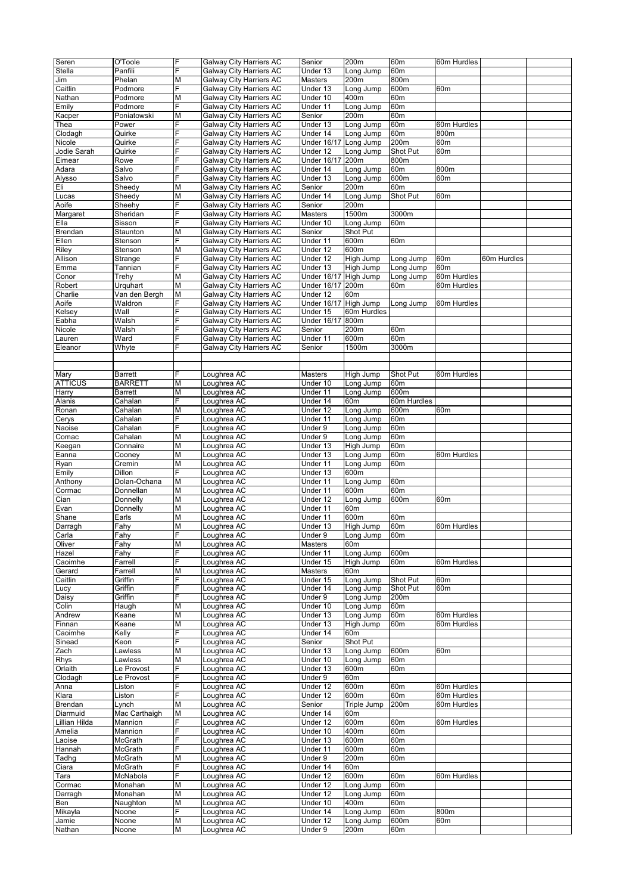| Seren          | O'Toole        | F  | Galway City Harriers AC | Senior                | 200m             | 60m             | 60m Hurdles     |             |  |
|----------------|----------------|----|-------------------------|-----------------------|------------------|-----------------|-----------------|-------------|--|
|                |                |    |                         |                       |                  |                 |                 |             |  |
| Stella         | Panfili        | F  | Galway City Harriers AC | Under 13              | Long Jump        | 60m             |                 |             |  |
| Jim            | Phelan         | M  | Galway City Harriers AC | Masters               | 200m             | 800m            |                 |             |  |
| Caitlin        | Podmore        | F  | Galway City Harriers AC | Under 13              | Long Jump        | 600m            | 60 <sub>m</sub> |             |  |
| Nathan         | Podmore        | M  | Galway City Harriers AC | Under 10              | 400m             | 60m             |                 |             |  |
|                |                | F  | Galway City Harriers AC |                       |                  |                 |                 |             |  |
| Emily          | Podmore        |    |                         | Under 11              | Long Jump        | 60m             |                 |             |  |
| Kacper         | Poniatowski    | M  | Galway City Harriers AC | Senior                | 200m             | 60m             |                 |             |  |
| Thea           | Power          | F  | Galway City Harriers AC | Under 13              | Long Jump        | 60m             | 60m Hurdles     |             |  |
| Clodagh        | Quirke         | F  | Galway City Harriers AC | Under 14              | Long Jump        | 60m             | 800m            |             |  |
| Nicole         | Quirke         | E  | Galway City Harriers AC | <b>Under 16/17</b>    | Long Jump        | 200m            | 60 <sub>m</sub> |             |  |
|                |                |    |                         |                       |                  |                 |                 |             |  |
| Jodie Sarah    | Quirke         |    | Galway City Harriers AC | Under 12              | Long Jump        | Shot Put        | 60m             |             |  |
| Eimear         | Rowe           | F  | Galway City Harriers AC | Under 16/17           | 200 <sub>m</sub> | 800m            |                 |             |  |
| Adara          | Salvo          | F  | Galway City Harriers AC | Under 14              | Long Jump        | 60m             | 800m            |             |  |
| Alysso         | Salvo          | F  | Galway City Harriers AC | Under 13              | Long Jump        | 600m            | 60 <sub>m</sub> |             |  |
|                |                |    |                         |                       |                  |                 |                 |             |  |
| Eli            | Sheedy         | M  | Galway City Harriers AC | Senior                | 200m             | 60m             |                 |             |  |
| Lucas          | Sheedy         | Μ  | Galway City Harriers AC | Under 14              | Long Jump        | Shot Put        | 60m             |             |  |
| Aoife          | Sheehy         | F  | Galway City Harriers AC | Senior                | 200m             |                 |                 |             |  |
| Margaret       | Sheridan       | F  | Galway City Harriers AC | Masters               | 1500m            | 3000m           |                 |             |  |
|                |                |    |                         |                       |                  |                 |                 |             |  |
| Ella           | Sisson         | F  | Galway City Harriers AC | Under 10              | Long Jump        | 60m             |                 |             |  |
| Brendan        | Staunton       | M  | Galway City Harriers AC | Senior                | Shot Put         |                 |                 |             |  |
| Ellen          | Stenson        | F  | Galway City Harriers AC | Under 11              | 600m             | 60m             |                 |             |  |
| Riley          | Stenson        | M  | Galway City Harriers AC | Under 12              | 600m             |                 |                 |             |  |
|                |                | F  |                         |                       |                  |                 |                 |             |  |
| Allison        | Strange        |    | Galway City Harriers AC | Under 12              | High Jump        | Long Jump       | 60m             | 60m Hurdles |  |
| Emma           | Tannian        | F  | Galway City Harriers AC | Under 13              | High Jump        | Long Jump       | 60m             |             |  |
| Conor          | Trehy          | M  | Galway City Harriers AC | <b>Under 16/17</b>    | High Jump        | Long Jump       | 60m Hurdles     |             |  |
| Robert         | Urquhart       | М  | Galway City Harriers AC | <b>Under 16/17</b>    | 200 <sub>m</sub> | 60m             | 60m Hurdles     |             |  |
|                |                | M  |                         |                       |                  |                 |                 |             |  |
| Charlie        | Van den Bergh  |    | Galway City Harriers AC | Under 12              | 60m              |                 |                 |             |  |
| Aoife          | Waldron        | F  | Galway City Harriers AC | <b>Under 16/17</b>    | High Jump        | Long Jump       | 60m Hurdles     |             |  |
| Kelsey         | Wall           | F  | Galway City Harriers AC | Under 15              | 60m Hurdles      |                 |                 |             |  |
| Eabha          | Walsh          | F  | Galway City Harriers AC | <b>Under 16/17</b>    | 800m             |                 |                 |             |  |
| Nicole         | Walsh          | F  | Galway City Harriers AC | Senior                | 200m             | 60m             |                 |             |  |
|                |                |    |                         |                       |                  |                 |                 |             |  |
| Lauren         | Ward           | F  | Galway City Harriers AC | Under 11              | 600m             | 60m             |                 |             |  |
| Eleanor        | Whyte          | F  | Galway City Harriers AC | Senior                | 1500m            | 3000m           |                 |             |  |
|                |                |    |                         |                       |                  |                 |                 |             |  |
|                |                |    |                         |                       |                  |                 |                 |             |  |
|                |                |    |                         |                       |                  |                 |                 |             |  |
| Mary           | <b>Barrett</b> | F  | Loughrea AC             | Masters               | High Jump        | Shot Put        | 60m Hurdles     |             |  |
| <b>ATTICUS</b> | <b>BARRETT</b> | M  | Loughrea AC             | Under 10              | Long Jump        | 60 <sub>m</sub> |                 |             |  |
| Harry          | <b>Barrett</b> | M  | Loughrea AC             | Under 11              | Long Jump        | 600m            |                 |             |  |
| Alanis         | Cahalan        | F  | Loughrea AC             | Under 14              | 60 <sub>m</sub>  | 60m Hurdles     |                 |             |  |
|                |                |    |                         |                       |                  |                 |                 |             |  |
| Ronan          | Cahalan        | M  | Loughrea AC             | Under 12              | Long Jump        | 600m            | 60m             |             |  |
| Cerys          | Cahalan        | F  | Loughrea AC             | Under 11              | Long Jump        | 60m             |                 |             |  |
| Naoise         | Cahalan        | F  | Loughrea AC             | Under 9               | Long Jump        | 60m             |                 |             |  |
| Comac          | Cahalan        | M  | Loughrea AC             | Under 9               | Long Jump        | 60m             |                 |             |  |
|                |                |    |                         |                       |                  |                 |                 |             |  |
| Keegan         | Connaire       | M  | Loughrea AC             | Under 13              | High Jump        | 60m             |                 |             |  |
| Eanna          | Cooney         | M  | Loughrea AC             | Under 13              | Long Jump        | 60m             | 60m Hurdles     |             |  |
| Ryan           | Cremin         | Μ  | Loughrea AC             | Under 11              | Long Jump        | 60m             |                 |             |  |
| Emily          | Dillon         | F  | Loughrea AC             | Under 13              | 600m             |                 |                 |             |  |
|                |                |    |                         |                       |                  |                 |                 |             |  |
| Anthony        | Dolan-Ochana   | M  | Loughrea AC             | Under 11              | Long Jump        | 60m             |                 |             |  |
| Cormac         | Donnellan      | M  | Loughrea AC             | Under 11              | 600m             | 60m             |                 |             |  |
| Cian           | Donnelly       | M  | Loughrea AC             | Under 12              | Long Jump        | 600m            | 60m             |             |  |
| Evan           | Donnelly       | Μ  | Loughrea AC             | Under 11              | 60m              |                 |                 |             |  |
|                |                |    |                         |                       | 600m             |                 |                 |             |  |
| Shane          | Earls          | М  | Loughrea AC             | Under 11              |                  | 60m             |                 |             |  |
| Darragh        | Fahy           | M  | Loughrea AC             | Under 13              | High Jump        | 60m             | 60m Hurdles     |             |  |
| Carla          | Fahy           | F  | Loughrea AC             | Under 9               | Long Jump        | 60m             |                 |             |  |
| Oliver         | Fahy           | M  | Loughrea AC             | Masters               | 60m              |                 |                 |             |  |
| Hazel          | Fahy           | F  | Loughrea AC             | Under 11              | Long Jump        | 600m            |                 |             |  |
|                |                |    |                         |                       |                  |                 |                 |             |  |
| Caoimhe        | Farrell        | E. | Loughrea AC             | Under 15              | High Jump        | 60m             | 60m Hurdles     |             |  |
| Gerard         | Farrell        | Μ  | Loughrea AC             | Masters               | 60m              |                 |                 |             |  |
| Caitlin        | Griffin        | F  | Loughrea AC             | Under 15              | Long Jump        | Shot Put        | 60m             |             |  |
| Lucy           | Griffin        | E. | Loughrea AC             | Under 14              | Long Jump        | Shot Put        | 60m             |             |  |
|                |                |    |                         |                       |                  |                 |                 |             |  |
| Daisy          | Griffin        | F  | Loughrea AC             | Under 9               | Long Jump        | 200m            |                 |             |  |
| Colin          | Haugh          | M  | Loughrea AC             | Under 10              | Long Jump        | 60m             |                 |             |  |
| Andrew         | Keane          | Μ  | Loughrea AC             | Under 13              | Long Jump        | 60m             | 60m Hurdles     |             |  |
| Finnan         | Keane          | M  | Loughrea AC             | Under 13              | High Jump        | 60m             | 60m Hurdles     |             |  |
| Caoimhe        | Kelly          | E. | Loughrea AC             | Under 14              | 60m              |                 |                 |             |  |
|                |                | F  |                         |                       | Shot Put         |                 |                 |             |  |
| Sinead         | Keon           |    | Loughrea AC             | Senior                |                  |                 |                 |             |  |
| Zach           | Lawless        | M  | Loughrea AC             | Under 13              | Long Jump        | 600m            | 60m             |             |  |
| Rhys           | Lawless        | M  | Loughrea AC             | Under 10              | Long Jump        | 60m             |                 |             |  |
| Orlaith        | Le Provost     | F  | Loughrea AC             | Under 13              | 600m             | 60m             |                 |             |  |
| Clodagh        | Le Provost     | E. | Loughrea AC             | Under 9               | 60 <sub>m</sub>  |                 |                 |             |  |
|                |                |    |                         |                       |                  |                 |                 |             |  |
| Anna           | Liston         | F  | Loughrea AC             | Under 12              | 600m             | 60m             | 60m Hurdles     |             |  |
| Klara          | Liston         | Ė  | Loughrea AC             | Under 12              | 600m             | 60m             | 60m Hurdles     |             |  |
| Brendan        | Lynch          | M  | Loughrea AC             | Senior                | Triple Jump      | 200m            | 60m Hurdles     |             |  |
| Diarmuid       | Mac Carthaigh  | M  | Loughrea AC             | Under 14              | 60m              |                 |                 |             |  |
|                |                | E. |                         |                       |                  |                 |                 |             |  |
| Lillian Hilda  | Mannion        |    | Loughrea AC             | Under 12              | 600m             | 60m             | 60m Hurdles     |             |  |
| Amelia         | Mannion        | F  | Loughrea AC             | Under 10              | 400m             | 60 <sub>m</sub> |                 |             |  |
| Laoise         | <b>McGrath</b> | F  | Loughrea AC             | Under 13              | 600m             | 60m             |                 |             |  |
| Hannah         | McGrath        | F  | Loughrea AC             | Under 11              | 600m             | 60m             |                 |             |  |
|                |                | M  |                         | Under 9               | 200m             |                 |                 |             |  |
| Tadhg          | McGrath        |    | Loughrea AC             |                       |                  | 60m             |                 |             |  |
| Ciara          | McGrath        | E. | Loughrea AC             | Under 14              | 60 <sub>m</sub>  |                 |                 |             |  |
| Tara           | McNabola       | F  | Loughrea AC             | Under 12              | 600m             | 60m             | 60m Hurdles     |             |  |
| Cormac         |                | M  | Loughrea AC             | Under 12              | Long Jump        | 60m             |                 |             |  |
|                |                |    |                         |                       |                  |                 |                 |             |  |
|                | Monahan        |    |                         |                       |                  |                 |                 |             |  |
| Darragh        | Monahan        | М  | Loughrea AC             | $\overline{$ Under 12 | Long Jump        | 60m             |                 |             |  |
| Ben            | Naughton       | M  | Loughrea AC             | Under 10              | 400m             | 60m             |                 |             |  |
| Mikayla        | Noone          | E. | Loughrea AC             | Under 14              | Long Jump        | 60m             | 800m            |             |  |
| Jamie          | Noone          | М  | Loughrea AC             | Under 12              | Long Jump        | 600m            | 60m             |             |  |
| Nathan         | Noone          | M  | Loughrea AC             | Under 9               | 200m             | 60m             |                 |             |  |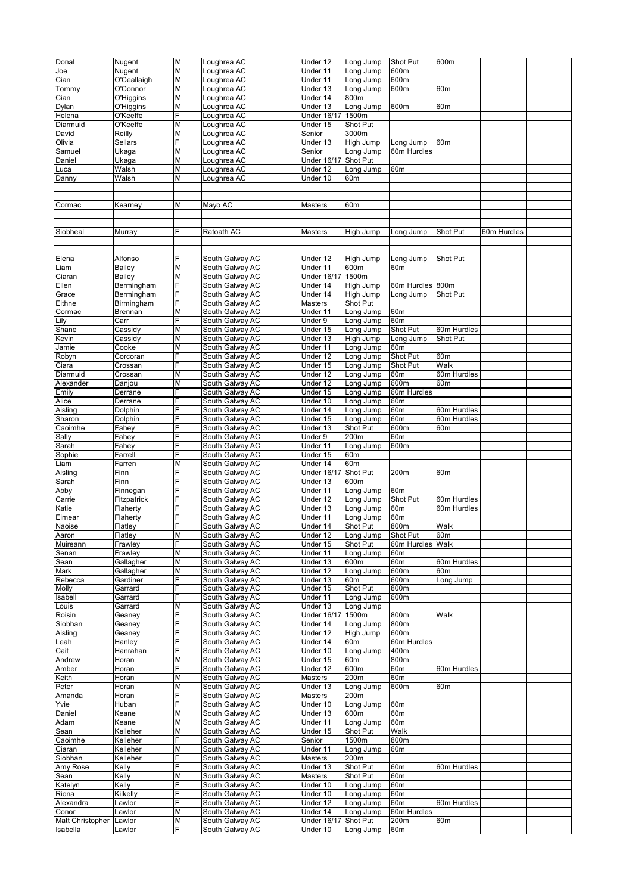| Donal            | Nugent      | М | Loughrea AC     | Under 12           | Long Jump        | Shot Put         | 600m            |             |  |
|------------------|-------------|---|-----------------|--------------------|------------------|------------------|-----------------|-------------|--|
|                  |             |   |                 |                    |                  |                  |                 |             |  |
| Joe              | Nugent      | М | Loughrea AC     | Under 11           | Long Jump        | 600m             |                 |             |  |
| Cian             | O'Ceallaigh | М | Loughrea AC     | Under 11           | Long Jump        | 600m             |                 |             |  |
| Tommy            | O'Connor    | М | Loughrea AC     | Under 13           | Long Jump        | 600m             | 60m             |             |  |
| Cian             | O'Higgins   | М | Loughrea AC     | Under 14           | 800m             |                  |                 |             |  |
| Dylan            | O'Higgins   | М | Loughrea AC     | Under 13           | Long Jump        | 600m             | 60m             |             |  |
|                  |             |   |                 |                    |                  |                  |                 |             |  |
| Helena           | O'Keeffe    | F | Loughrea AC     | <b>Under 16/17</b> | 1500m            |                  |                 |             |  |
| Diarmuid         | O'Keeffe    | М | Loughrea AC     | Under 15           | Shot Put         |                  |                 |             |  |
| David            | Reilly      | М | Loughrea AC     | Senior             | 3000m            |                  |                 |             |  |
| Olivia           | Sellars     | F | Loughrea AC     | Under 13           | High Jump        | Long Jump        | 60 <sub>m</sub> |             |  |
| Samuel           | Ukaga       | М | Loughrea AC     | Senior             | Long Jump        | 60m Hurdles      |                 |             |  |
|                  |             |   |                 |                    |                  |                  |                 |             |  |
| Daniel           | Ukaga       | М | Loughrea AC     | Under 16/17        | Shot Put         |                  |                 |             |  |
| Luca             | Walsh       | М | Loughrea AC     | Under 12           | Long Jump        | 60m              |                 |             |  |
| Danny            | Walsh       | М | Loughrea AC     | Under 10           | 60 <sub>m</sub>  |                  |                 |             |  |
|                  |             |   |                 |                    |                  |                  |                 |             |  |
|                  |             |   |                 |                    |                  |                  |                 |             |  |
| Cormac           |             | Μ | Mayo AC         | Masters            | 60m              |                  |                 |             |  |
|                  | Kearney     |   |                 |                    |                  |                  |                 |             |  |
|                  |             |   |                 |                    |                  |                  |                 |             |  |
|                  |             |   |                 |                    |                  |                  |                 |             |  |
| Siobheal         | Murray      | F | Ratoath AC      | Masters            | High Jump        | Long Jump        | Shot Put        | 60m Hurdles |  |
|                  |             |   |                 |                    |                  |                  |                 |             |  |
|                  |             |   |                 |                    |                  |                  |                 |             |  |
|                  |             | F |                 |                    |                  |                  |                 |             |  |
| Elena            | Alfonso     |   | South Galway AC | Under 12           | High Jump        | Long Jump        | Shot Put        |             |  |
| Liam             | Bailey      | M | South Galway AC | Under 11           | 600m             | 60m              |                 |             |  |
| Ciaran           | Bailey      | М | South Galway AC | <b>Under 16/17</b> | 1500m            |                  |                 |             |  |
| Ellen            | Bermingham  | F | South Galway AC | Under 14           | High Jump        | 60m Hurdles 800m |                 |             |  |
| Grace            | Bermingham  | F | South Galway AC | Under 14           | High Jump        | Long Jump        | Shot Put        |             |  |
| Eithne           | Birmingham  | F | South Galway AC | Masters            | Shot Put         |                  |                 |             |  |
|                  |             |   |                 |                    |                  |                  |                 |             |  |
| Cormac           | Brennan     | М | South Galway AC | Under 11           | Long Jump        | 60m              |                 |             |  |
| Lily             | Carr        | F | South Galway AC | Under 9            | Long Jump        | 60m              |                 |             |  |
| Shane            | Cassidy     | М | South Galway AC | Under 15           | Long Jump        | Shot Put         | 60m Hurdles     |             |  |
| Kevin            | Cassidy     | М | South Galway AC | Under 13           | <b>High Jump</b> | Long Jump        | Shot Put        |             |  |
| Jamie            | Cooke       | М | South Galway AC | Under 11           | Long Jump        | 60m              |                 |             |  |
| Robyn            | Corcoran    | F | South Galway AC | Under 12           | Long Jump        | Shot Put         | 60 <sub>m</sub> |             |  |
|                  |             | F |                 |                    |                  |                  |                 |             |  |
| Ciara            | Crossan     |   | South Galway AC | Under 15           | Long Jump        | Shot Put         | Walk            |             |  |
| Diarmuid         | Crossan     | M | South Galway AC | Under 12           | Long Jump        | 60m              | 60m Hurdles     |             |  |
| Alexander        | Danjou      | Μ | South Galway AC | Under 12           | Long Jump        | 600m             | 60m             |             |  |
| Emily            | Derrane     | F | South Galway AC | Under 15           | Long Jump        | 60m Hurdles      |                 |             |  |
| Alice            | Derrane     | F | South Galway AC | Under 10           | Long Jump        | 60m              |                 |             |  |
| Aisling          |             | F | South Galway AC | Under 14           | Long Jump        | 60m              |                 |             |  |
|                  | Dolphin     |   |                 |                    |                  |                  | 60m Hurdles     |             |  |
| Sharon           | Dolphin     | F | South Galway AC | Under 15           | Long Jump        | 60m              | 60m Hurdles     |             |  |
| Caoimhe          | Fahey       | F | South Galway AC | Under 13           | Shot Put         | 600m             | 60m             |             |  |
| Sally            | Fahey       | F | South Galway AC | Under 9            | 200m             | 60m              |                 |             |  |
| Sarah            | Fahey       | F | South Galway AC | Under 11           | Long Jump        | 600m             |                 |             |  |
| Sophie           | Farrell     | F | South Galway AC | Under 15           | 60 <sub>m</sub>  |                  |                 |             |  |
|                  |             |   |                 |                    |                  |                  |                 |             |  |
| Liam             | Farren      | M | South Galway AC | Under 14           | 60m              |                  |                 |             |  |
| Aisling          | Finn        | F | South Galway AC | <b>Under 16/17</b> | Shot Put         | 200m             | 60m             |             |  |
| Sarah            | Finn        | F | South Galway AC | Under 13           | 600m             |                  |                 |             |  |
| Abby             | Finnegan    | F | South Galway AC | Under 11           | Long Jump        | 60m              |                 |             |  |
| Carrie           | Fitzpatrick | F | South Galway AC | Under 12           | Long Jump        | Shot Put         | 60m Hurdles     |             |  |
| Katie            | Flaherty    |   | South Galway AC | Under 13           | Long Jump        | 60m              | 60m Hurdles     |             |  |
|                  |             | F | South Galway AC |                    |                  |                  |                 |             |  |
| Eimear           | Flaherty    |   |                 | Under 11           | Long Jump        | 60m              |                 |             |  |
| Naoise           | Flatley     | F | South Galway AC | Under 14           | Shot Put         | 800m             | Walk            |             |  |
| Aaron            | Flatley     | М | South Galway AC | Under 12           | Long Jump        | Shot Put         | 60 <sub>m</sub> |             |  |
| Muireann         | Frawley     | F | South Galway AC | Under 15           | Shot Put         | 60m Hurdles Walk |                 |             |  |
| Senan            | Frawley     | М | South Galway AC | Under 11           | Long Jump        | 60m              |                 |             |  |
| Sean             | Gallagher   | М | South Galway AC | Under 13           | 600m             | 60m              | 60m Hurdles     |             |  |
|                  |             |   |                 |                    |                  |                  |                 |             |  |
| Mark             | Gallagher   | М | South Galway AC | Under 12           | Long Jump        | 600m             | 60 <sub>m</sub> |             |  |
| Rebecca          | Gardiner    | F | South Galway AC | Under 13           | 60m              | 600m             | Long Jump       |             |  |
| Molly            | Garrard     | F | South Galway AC | Under 15           | Shot Put         | 800m             |                 |             |  |
| Isabell          | Garrard     | F | South Galway AC | Under 11           | Long Jump        | 600m             |                 |             |  |
| Louis            | Garrard     | M | South Galway AC | Under 13           | Long Jump        |                  |                 |             |  |
| Roisin           | Geaney      | F | South Galway AC | <b>Under 16/17</b> | 1500m            | 800m             | Walk            |             |  |
|                  |             |   |                 |                    |                  |                  |                 |             |  |
| Siobhan          | Geaney      | F | South Galway AC | Under 14           | Long Jump        | 800m             |                 |             |  |
| Aisling          | Geaney      | F | South Galway AC | Under 12           | High Jump        | 600m             |                 |             |  |
| Leah             | Hanley      |   | South Galway AC | Under 14           | 60m              | 60m Hurdles      |                 |             |  |
| Cait             | Hanrahan    | F | South Galway AC | Under 10           | Long Jump        | 400m             |                 |             |  |
| Andrew           | Horan       | М | South Galway AC | Under 15           | 60m              | 800m             |                 |             |  |
| Amber            | Horan       | F | South Galway AC | Under 12           | 600m             | 60m              | 60m Hurdles     |             |  |
|                  |             |   |                 |                    |                  |                  |                 |             |  |
| Keith            | Horan       | М | South Galway AC | Masters            | 200m             | 60m              |                 |             |  |
| Peter            | Horan       | М | South Galway AC | Under 13           | Long Jump        | 600m             | 60m             |             |  |
| Amanda           | Horan       | F | South Galway AC | Masters            | 200m             |                  |                 |             |  |
| Yvie             | Huban       | F | South Galway AC | Under 10           | Long Jump        | 60m              |                 |             |  |
| Daniel           | Keane       | М | South Galway AC | Under 13           | 600m             | 60m              |                 |             |  |
| Adam             | Keane       | М | South Galway AC | Under 11           | Long Jump        | 60m              |                 |             |  |
|                  |             |   |                 |                    |                  |                  |                 |             |  |
| Sean             | Kelleher    | М | South Galway AC | Under 15           | Shot Put         | Walk             |                 |             |  |
| Caoimhe          | Kelleher    | F | South Galway AC | Senior             | 1500m            | 800m             |                 |             |  |
| Ciaran           | Kelleher    | М | South Galway AC | Under 11           | Long Jump        | 60m              |                 |             |  |
| Siobhan          | Kelleher    | F | South Galway AC | Masters            | 200m             |                  |                 |             |  |
| Amy Rose         | Kelly       | F | South Galway AC | Under 13           | Shot Put         | 60m              | 60m Hurdles     |             |  |
|                  |             |   | South Galway AC |                    | Shot Put         |                  |                 |             |  |
| Sean             | Kelly       | M |                 | Masters            |                  | 60m              |                 |             |  |
| Katelyn          | Kelly       | F | South Galway AC | Under 10           | Long Jump        | 60m              |                 |             |  |
| Riona            | Kilkelly    | F | South Galway AC | Under 10           | Long Jump        | 60m              |                 |             |  |
| Alexandra        | Lawlor      | F | South Galway AC | Under 12           | Long Jump        | 60m              | 60m Hurdles     |             |  |
| Conor            | _awlor      | М | South Galway AC | Under 14           | Long Jump        | 60m Hurdles      |                 |             |  |
| Matt Christopher | Lawlor      | Μ | South Galway AC | <b>Under 16/17</b> | Shot Put         | 200m             | 60m             |             |  |
|                  |             | F |                 |                    |                  |                  |                 |             |  |
| Isabella         | Lawlor      |   | South Galway AC | Under 10           | Long Jump        | 60m              |                 |             |  |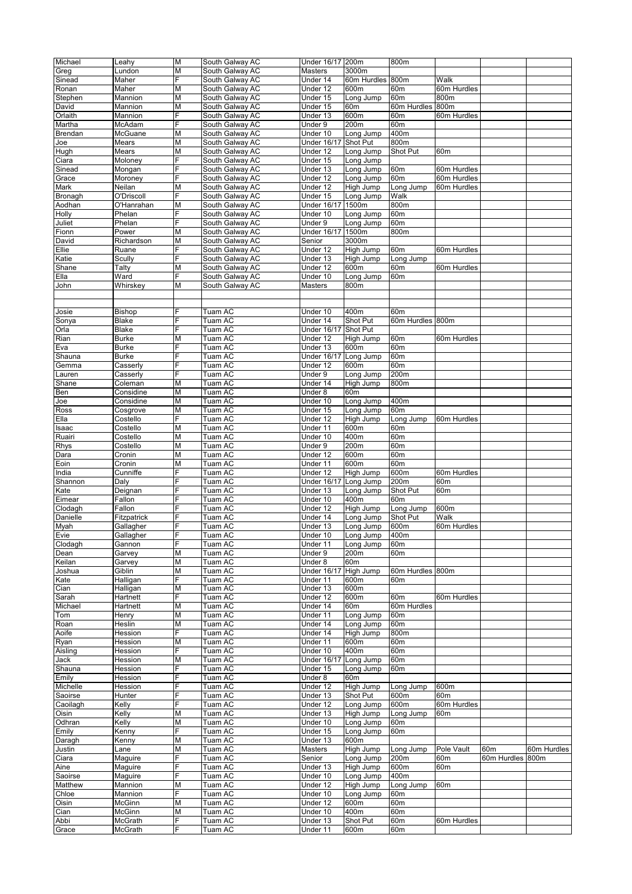| Michael  | Leahy          | M                       | South Galway AC | Under 16/17 200m   |                  | 800m             |                 |             |             |
|----------|----------------|-------------------------|-----------------|--------------------|------------------|------------------|-----------------|-------------|-------------|
|          |                |                         |                 |                    |                  |                  |                 |             |             |
| Greg     | Lundon         | М                       | South Galway AC | Masters            | 3000m            |                  |                 |             |             |
| Sinead   | Maher          | F                       | South Galway AC | Under 14           | 60m Hurdles      | 800m             | Walk            |             |             |
| Ronan    | Maher          | M                       | South Galway AC | Under 12           | 600m             | 60m              | 60m Hurdles     |             |             |
| Stephen  | Mannion        | M                       | South Galway AC | Under 15           | Long Jump        | 60m              | 800m            |             |             |
|          |                |                         |                 |                    |                  | 60m Hurdles 800m |                 |             |             |
| David    | Mannion        | Μ                       | South Galway AC | Under 15           | 60m              |                  |                 |             |             |
| Orlaith  | Mannion        | F                       | South Galway AC | Under 13           | 600m             | 60m              | 60m Hurdles     |             |             |
| Martha   | McAdam         | F                       | South Galway AC | Under 9            | 200m             | 60m              |                 |             |             |
| Brendan  | McGuane        | M                       | South Galway AC | Under 10           | Long Jump        | 400m             |                 |             |             |
| Joe      | Mears          | M                       | South Galway AC | <b>Under 16/17</b> | Shot Put         | 800m             |                 |             |             |
|          |                |                         |                 |                    |                  |                  |                 |             |             |
| Hugh     | Mears          | Μ                       | South Galway AC | Under 12           | Long Jump        | Shot Put         | 60 <sub>m</sub> |             |             |
| Ciara    | Moloney        | F                       | South Galway AC | Under 15           | Long Jump        |                  |                 |             |             |
| Sinead   | Mongan         | F                       | South Galway AC | Under 13           | Long Jump        | 60m              | 60m Hurdles     |             |             |
| Grace    | Moroney        | F                       | South Galway AC | Under 12           | Long Jump        | 60m              | 60m Hurdles     |             |             |
| Mark     | Neilan         | M                       | South Galway AC | Under 12           | High Jump        | Long Jump        | 60m Hurdles     |             |             |
|          |                |                         |                 |                    |                  |                  |                 |             |             |
| Bronagh  | O'Driscoll     | F                       | South Galway AC | Under 15           | Long Jump        | Walk             |                 |             |             |
| Aodhan   | O'Hanrahan     | М                       | South Galway AC | <b>Under 16/17</b> | 1500m            | 800m             |                 |             |             |
| Holly    | Phelan         | F                       | South Galway AC | Under 10           | Long Jump        | 60m              |                 |             |             |
| Juliet   | Phelan         | F                       | South Galway AC | Under 9            | Long Jump        | 60m              |                 |             |             |
|          |                | M                       |                 |                    |                  | 800m             |                 |             |             |
| Fionn    | Power          |                         | South Galway AC | <b>Under 16/17</b> | 1500m            |                  |                 |             |             |
| David    | Richardson     | Μ                       | South Galway AC | Senior             | 3000m            |                  |                 |             |             |
| Ellie    | Ruane          | F                       | South Galway AC | Under 12           | High Jump        | 60m              | 60m Hurdles     |             |             |
| Katie    | Scully         | F                       | South Galway AC | Under 13           | High Jump        | Long Jump        |                 |             |             |
| Shane    | Talty          | M                       | South Galway AC | Under 12           | 600m             | 60m              | 60m Hurdles     |             |             |
|          |                |                         |                 |                    |                  |                  |                 |             |             |
| Ella     | Ward           | E.                      | South Galway AC | Under 10           | Long Jump        | 60m              |                 |             |             |
| John     | Whirskey       | М                       | South Galway AC | Masters            | 800m             |                  |                 |             |             |
|          |                |                         |                 |                    |                  |                  |                 |             |             |
|          |                |                         |                 |                    |                  |                  |                 |             |             |
|          |                |                         |                 |                    |                  |                  |                 |             |             |
| Josie    | <b>Bishop</b>  | F                       | Tuam AC         | Under 10           | 400m             | 60m              |                 |             |             |
| Sonya    | <b>Blake</b>   | E.                      | Tuam AC         | Under 14           | Shot Put         | 60m Hurdles 800m |                 |             |             |
| Orla     | Blake          | F                       | Tuam AC         | <b>Under 16/17</b> | Shot Put         |                  |                 |             |             |
| Rian     | <b>Burke</b>   | M                       | Tuam AC         | Under 12           | High Jump        | 60m              | 60m Hurdles     |             |             |
|          |                | F                       | Tuam AC         | Under 13           |                  | 60m              |                 |             |             |
| Eva      | <b>Burke</b>   |                         |                 |                    | 600m             |                  |                 |             |             |
| Shauna   | <b>Burke</b>   | F                       | Tuam AC         | <b>Under 16/17</b> | Long Jump        | 60m              |                 |             |             |
| Gemma    | Casserly       | E.                      | Tuam AC         | Under 12           | 600m             | 60m              |                 |             |             |
| Lauren   | Casserly       | F                       | Tuam AC         | Under 9            | Long Jump        | 200m             |                 |             |             |
|          | Coleman        | M                       | Tuam AC         | Under 14           | High Jump        | 800m             |                 |             |             |
| Shane    |                |                         |                 |                    |                  |                  |                 |             |             |
| Ben      | Considine      | M                       | Tuam AC         | Under 8            | 60m              |                  |                 |             |             |
| Joe      | Considine      | M                       | Tuam AC         | Under 10           | Long Jump        | 400m             |                 |             |             |
| Ross     | Cosgrove       | M                       | Tuam AC         | Under 15           | Long Jump        | 60m              |                 |             |             |
| Ella     | Costello       | F                       | Tuam AC         | Under 12           | High Jump        | Long Jump        | 60m Hurdles     |             |             |
|          |                |                         |                 |                    |                  |                  |                 |             |             |
| Isaac    | Costello       | M                       | Tuam AC         | Under 11           | 600m             | 60m              |                 |             |             |
| Ruairi   | Costello       | M                       | Tuam AC         | Under 10           | 400m             | 60m              |                 |             |             |
| Rhys     | Costello       | M                       | Tuam AC         | Under 9            | 200m             | 60m              |                 |             |             |
| Dara     | Cronin         | M                       | Tuam AC         | Under 12           | 600m             | 60m              |                 |             |             |
|          |                |                         |                 |                    |                  |                  |                 |             |             |
| Eoin     | Cronin         | Μ                       | Tuam AC         | Under 11           | 600m             | 60m              |                 |             |             |
| India    | Cunniffe       | F                       | Tuam AC         | Under 12           | <b>High Jump</b> | 600m             | 60m Hurdles     |             |             |
| Shannon  | Daly           | F                       | Tuam AC         | <b>Under 16/17</b> | Long Jump        | 200m             | 60m             |             |             |
| Kate     | Deignan        | F                       | Tuam AC         | Under 13           | Long Jump        | Shot Put         | 60 <sub>m</sub> |             |             |
|          |                | E                       |                 |                    |                  |                  |                 |             |             |
| Eimear   | Fallon         |                         | Tuam AC         | Under 10           | 400m             | 60m              |                 |             |             |
| Clodagh  | Fallon         |                         | Tuam AC         | Under 12           | High Jump        | Long Jump        | 600m            |             |             |
| Danielle | Fitzpatrick    | F                       | Tuam AC         | Under 14           | Long Jump        | Shot Put         | Walk            |             |             |
| Myah     | Gallagher      | F                       | Tuam AC         | Under 13           | Long Jump        | 600m             | 60m Hurdles     |             |             |
| Evie     |                | F                       | Tuam AC         | Under 10           | Long Jump        | 400m             |                 |             |             |
|          | Gallagher      |                         |                 |                    |                  |                  |                 |             |             |
| Clodagh  | Gannon         | F                       | Tuam AC         | Under 11           | Long Jump        | 60m              |                 |             |             |
| Dean     | Garvey         | Μ                       | Tuam AC         | Under 9            | 200m             | 60m              |                 |             |             |
| Keilan   | Garvey         | М                       | Tuam AC         | Under 8            | 60m              |                  |                 |             |             |
| Joshua   | Giblin         | M                       | Tuam AC         | <b>Under 16/17</b> | High Jump        | 60m Hurdles 800m |                 |             |             |
|          | Halligan       | F                       | Tuam AC         | Under 11           |                  | 60m              |                 |             |             |
| Kate     |                |                         |                 |                    | 600m             |                  |                 |             |             |
| Cian     | Halligan       | М                       | Tuam AC         | Under 13           | 600m             |                  |                 |             |             |
| Sarah    | Hartnett       | F                       | Tuam AC         | Under 12           | 600m             | 60m              | 60m Hurdles     |             |             |
| Michael  | Hartnett       | M                       | Tuam AC         | Under 14           | 60m              | 60m Hurdles      |                 |             |             |
| Tom      | Henry          | Μ                       | Tuam AC         | Under 11           | Long Jump        | 60m              |                 |             |             |
|          |                | M                       | Tuam AC         | Under 14           |                  |                  |                 |             |             |
| Roan     | Heslin         |                         |                 |                    | Long Jump        | 60m              |                 |             |             |
| Aoife    | Hession        | E.                      | Tuam AC         | Under 14           | High Jump        | 800m             |                 |             |             |
| Ryan     | Hession        | Μ                       | Tuam AC         | Under 11           | 600 <sub>m</sub> | 60m              |                 |             |             |
| Aisling  | Hession        | Ė                       | Tuam AC         | Under 10           | 400m             | 60m              |                 |             |             |
| Jack     | Hession        | M                       | Tuam AC         | <b>Under 16/17</b> | Long Jump        | 60m              |                 |             |             |
|          |                |                         |                 |                    |                  |                  |                 |             |             |
| Shauna   | Hession        | F                       | Tuam AC         | Under 15           | Long Jump        | 60m              |                 |             |             |
| Emily    | Hession        | E.                      | Tuam AC         | Under 8            | 60m              |                  |                 |             |             |
| Michelle | Hession        | F                       | Tuam AC         | Under 12           | <b>High Jump</b> | Long Jump        | 600m            |             |             |
| Saoirse  | Hunter         | F                       | Tuam AC         | Under 13           | Shot Put         | 600m             | 60 <sub>m</sub> |             |             |
| Caoilagh | Kelly          | F                       | Tuam AC         | Under 12           | Long Jump        | 600m             | 60m Hurdles     |             |             |
|          |                |                         |                 |                    |                  |                  |                 |             |             |
| Oisin    | Kelly          | M                       | Tuam AC         | Under 13           | High Jump        | Long Jump        | 60 <sub>m</sub> |             |             |
| Odhran   | Kelly          | Μ                       | Tuam AC         | Under 10           | Long Jump        | 60m              |                 |             |             |
| Emily    | Kenny          | F                       | Tuam AC         | Under 15           | Long Jump        | 60m              |                 |             |             |
| Daragh   | Kenny          | M                       | Tuam AC         | Under 13           | 600m             |                  |                 |             |             |
|          |                |                         |                 |                    |                  |                  |                 |             |             |
| Justin   | Lane           | M                       | Tuam AC         | Masters            | High Jump        | Long Jump        | Pole Vault      | 60m         | 60m Hurdles |
| Ciara    | Maguire        | F                       | Tuam AC         | Senior             | Long Jump        | 200m             | 60m             | 60m Hurdles | 800m        |
| Aine     | Maguire        | E.                      | Tuam AC         | Under 13           | High Jump        | 600m             | 60m             |             |             |
| Saoirse  | Maguire        | F                       | Tuam AC         | Under 10           | Long Jump        | 400m             |                 |             |             |
| Matthew  | Mannion        | M                       | Tuam AC         | Under 12           | High Jump        | Long Jump        | 60m             |             |             |
|          |                |                         |                 |                    |                  |                  |                 |             |             |
| Chloe    | Mannion        | F                       | Tuam AC         | Under 10           | Long Jump        | 60m              |                 |             |             |
| Oisin    | McGinn         | M                       | Tuam AC         | Under 12           | 600m             | 60m              |                 |             |             |
| Cian     | McGinn         | $\overline{\mathsf{M}}$ | Tuam AC         | Under 10           | 400m             | 60m              |                 |             |             |
| Abbi     | <b>McGrath</b> | E.                      | Tuam AC         | Under 13           | Shot Put         | 60m              | 60m Hurdles     |             |             |
| Grace    | McGrath        | F                       | Tuam AC         | Under 11           | 600m             |                  |                 |             |             |
|          |                |                         |                 |                    |                  | 60m              |                 |             |             |